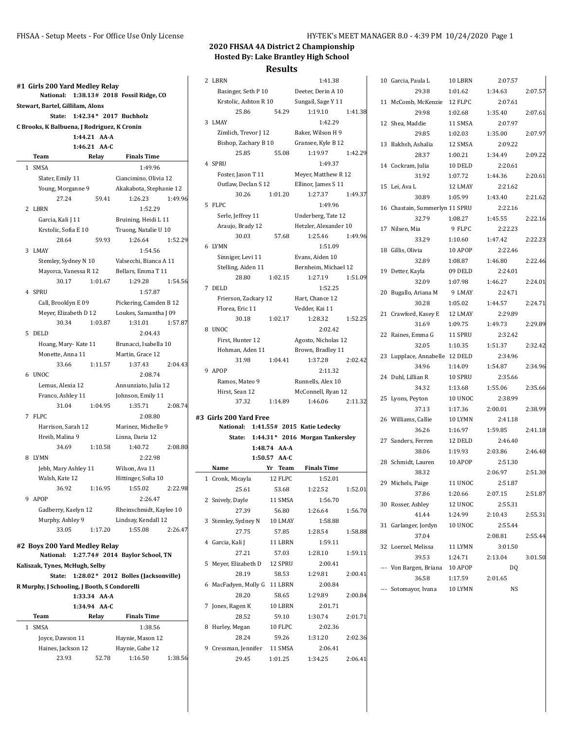|        | #1  Girls 200 Yard Medley Relay              |              |                                             |         |
|--------|----------------------------------------------|--------------|---------------------------------------------|---------|
|        |                                              |              | National: 1:38.13# 2018 Fossil Ridge, CO    |         |
|        | Stewart, Bartel, Gillilam, Alons             |              | State: 1:42.34* 2017 Buchholz               |         |
|        | C Brooks, K Balbuena, J Rodriguez, K Cronin  |              |                                             |         |
|        |                                              | 1:44.21 AA-A |                                             |         |
|        |                                              | 1:46.21 AA C |                                             |         |
| Team   |                                              | Relay        | <b>Finals Time</b>                          |         |
| 1 SMSA |                                              |              | 1:49.96                                     |         |
|        | Slater, Emily 11                             |              | Ciancimino, Olivia 12                       |         |
|        | Young, Morganne 9                            |              | Akakabota, Stephanie 12                     |         |
|        | 27.24                                        | 59.41        | 1:26.23                                     | 1:49.96 |
| 2 LBRN |                                              |              | 1:52.29                                     |         |
|        | Garcia, Kali J 11                            |              | Bruining, Heidi L 11                        |         |
|        | Krstolic, Sofia E 10                         |              | Truong, Natalie U 10                        |         |
|        | 28.64                                        | 59.93        | 1:26.64                                     | 1:52.29 |
| 3 LMAY |                                              |              | 1:54.56                                     |         |
|        |                                              |              | Stemley, Sydney N 10 Valsecchi, Bianca A 11 |         |
|        |                                              |              | Mayorca, Vanessa R 12 Bellars, Emma T 11    |         |
|        | 30.17                                        | 1:01.67      | 1:29.28                                     | 1:54.56 |
| 4 SPRU |                                              |              | 1:57.87                                     |         |
|        | Call, Brooklyn E 09                          |              | Pickering, Camden B 12                      |         |
|        | Meyer, Elizabeth D 12                        |              | Loukes, Samantha J 09                       |         |
|        | 30.34                                        | 1:03.87      | 1:31.01                                     | 1:57.87 |
| 5 DELD |                                              |              | 2:04.43                                     |         |
|        |                                              |              | Hoang, Mary-Kate 11 Brunacci, Isabella 10   |         |
|        | Monette, Anna 11                             |              | Martin, Grace 12                            |         |
|        | 33.66 1:11.57                                |              | 1:37.43                                     | 2:04.43 |
| 6 UNOC |                                              |              | 2:08.74                                     |         |
|        | Lemus, Alexia 12<br>Franco, Ashley 11        |              | Annunziato, Julia 12<br>Johnson, Emily 11   |         |
|        | 31.04                                        | 1:04.95      | 1:35.71                                     | 2:08.74 |
| 7 FLPC |                                              |              | 2:08.80                                     |         |
|        | Harrison, Sarah 12                           |              | Marinez, Michelle 9                         |         |
|        | Hreib, Malina 9                              |              | Linna, Daria 12                             |         |
|        | 34.69 1:10.58                                |              | 1:40.72                                     | 2:08.80 |
| 8 LYMN |                                              |              | 2:22.98                                     |         |
|        | Jebb, Mary Ashley 11                         |              | Wilson, Ava 11                              |         |
|        | Walsh, Kate 12                               |              | Hittinger, Sofia 10                         |         |
|        | 36.92 1:16.95                                |              | 1:55.02                                     | 2:22.98 |
| 9 APOP |                                              |              | 2:26.47                                     |         |
|        | Gadberry, Kaelyn 12                          |              | Rheinschmidt, Kaylee 10                     |         |
|        | Murphy, Ashley 9                             |              | Lindsay, Kendall 12                         |         |
|        | 33.05                                        | 1:17.20      | 1:55.08                                     | 2:26.47 |
|        | #2 Boys 200 Yard Medley Relay                |              |                                             |         |
|        |                                              |              | National: 1:27.74# 2014 Baylor School, TN   |         |
|        | Kaliszak, Tynes, McHugh, Selby               |              |                                             |         |
|        |                                              |              | State: 1:28.02* 2012 Bolles (Jacksonville)  |         |
|        | R Murphy, J Schooling, J Booth, S Condorelli |              |                                             |         |
|        |                                              | 1:33.34 AA-A |                                             |         |
|        |                                              | 1:34.94 AA-C |                                             |         |
| Team   |                                              | Relay        | <b>Finals Time</b>                          |         |
| 1 SMSA |                                              |              | 1:38.56                                     |         |
|        |                                              |              | Joyce, Dawson 11 Haynie, Mason 12           |         |

Haines, Jackson 12 Haynie, Gabe 12

23.93 52.78 1:16.50 1:38.56

### **2020 FHSAA 4A District 2 Championship Hosted By: Lake Brantley High School Results**

|   | 2 LBRN                   |                    | 1:41.38                                  |         |
|---|--------------------------|--------------------|------------------------------------------|---------|
|   |                          |                    | Basinger, Seth P 10 Deeter, Derin A 10   |         |
|   |                          |                    | Krstolic, Ashton R 10 Sungail, Sage Y 11 |         |
|   | 25.86                    | 54.29              |                                          |         |
|   |                          |                    | 1:19.10                                  | 1:41.38 |
|   | 3 LMAY                   |                    | 1:42.29                                  |         |
|   | Zimlich, Trevor J 12     |                    | Baker, Wilson H 9                        |         |
|   | Bishop, Zachary B 10     |                    | Gransee, Kyle B 12                       |         |
|   | 25.85                    | 55.08              | 1:19.97                                  | 1:42.29 |
|   | 4 SPRU                   |                    | 1:49.37                                  |         |
|   | Foster, Jason T 11       |                    | Meyer, Matthew R 12                      |         |
|   | Outlaw, Declan S 12      |                    | Ellinor, James S 11                      |         |
|   | 30.26                    | 1:01.20            | 1:27.37                                  | 1:49.37 |
|   | 5 FLPC                   |                    | 1:49.96                                  |         |
|   | Serle, Jeffrey 11        |                    | Underberg, Tate 12                       |         |
|   | Araujo, Brady 12         |                    | Hetzler, Alexander 10                    |         |
|   | 30.03                    | 57.68              | 1:25.46                                  | 1:49.96 |
|   | 6 LYMN                   |                    | 1:51.09                                  |         |
|   | Sinniger, Levi 11        |                    | Evans. Aiden 10                          |         |
|   | Stelling, Aiden 11       |                    | Bernheim, Michael 12                     |         |
|   | 28.80                    | 1:02.15            | 1:27.19                                  | 1:51.09 |
|   | 7 DELD                   |                    | 1:52.25                                  |         |
|   | Frierson, Zackary 12     |                    | Hart, Chance 12                          |         |
|   | Florea. Eric 11          |                    | Vedder, Kai 11                           |         |
|   | 30.18                    | 1:02.17            | 1:28.32                                  | 1:52.25 |
|   | 8 UNOC                   |                    | 2:02.42                                  |         |
|   | First, Hunter 12         |                    | Agosto, Nicholas 12                      |         |
|   | Hohman, Aden 11          |                    | Brown, Bradley 11                        |         |
|   | 31.98                    | 1:04.41            | 1:37.28                                  | 2:02.42 |
|   | 9 APOP                   |                    | 2:11.32                                  |         |
|   | Ramos, Mateo 9           |                    | Runnells, Alex 10                        |         |
|   | Hirst, Sean 12           |                    |                                          |         |
|   | 37.32                    | 1:14.89            | McConnell, Ryan 12<br>1:46.06            | 2:11.32 |
|   |                          |                    |                                          |         |
|   | #3 Girls 200 Yard Free   |                    |                                          |         |
|   |                          |                    | National: 1:41.55# 2015 Katie Ledecky    |         |
|   | State:                   |                    | 1:44.31* 2016 Morgan Tankersley          |         |
|   |                          | 1:48.74 AA-A       |                                          |         |
|   |                          | 1:50.57 AA-C       |                                          |         |
|   | Name                     |                    | Yr Team Finals Time                      |         |
|   | 1 Cronk, Micayla 12 FLPC |                    | 1:52.01                                  |         |
|   | 25.61                    | 53.68              | 1:22.52                                  | 1:52.01 |
|   | 2 Snively, Dayle         | 11 SMSA            | 1:56.70                                  |         |
|   | 27.39                    | 56.80              | 1:26.64                                  | 1:56.70 |
| 3 | Stemley, Sydney N        | 10 LMAY            | 1:58.88                                  |         |
|   | 27.75                    | 57.85              | 1:28.54                                  | 1:58.88 |
|   | 4 Garcia, Kali J         | 11 LBRN            | 1:59.11                                  |         |
|   | 27.21                    | 57.03              | 1:28.10                                  | 1:59.11 |
| 5 | Meyer, Elizabeth D       | 12 SPRU            | 2:00.41                                  |         |
|   | 28.19                    | 58.53              | 1:29.81                                  | 2:00.41 |
| 6 |                          |                    |                                          |         |
|   |                          |                    |                                          |         |
|   | MacFadyen, Molly G       | 11 LBRN            | 2:00.84                                  |         |
|   | 28.20                    | 58.65              | 1:29.89                                  | 2:00.84 |
| 7 | Jones, Ragen K           | 10 LBRN            | 2:01.71                                  |         |
|   | 28.52                    | 59.10              | 1:30.74                                  | 2:01.71 |
| 8 | Hurley, Megan            | 10 FLPC            | 2:02.36                                  |         |
|   | 28.24                    | 59.26              | 1:31.20                                  | 2:02.36 |
| 9 | Cressman, Jennifer       | 11 SMSA<br>1:01.25 | 2:06.41                                  |         |

| 10 | Garcia, Paula L                | 10 LBRN | 2:07.57 |         |
|----|--------------------------------|---------|---------|---------|
|    | 29.38                          | 1:01.62 | 1:34.63 | 2:07.57 |
| 11 | McComb, McKenzie 12 FLPC       |         | 2:07.61 |         |
|    | 29.98                          | 1:02.68 | 1:35.40 | 2:07.61 |
|    | 12 Shea, Maddie                | 11 SMSA | 2:07.97 |         |
|    | 29.85                          | 1:02.03 | 1:35.00 | 2:07.97 |
| 13 | Bakhsh, Ashalia                | 12 SMSA | 2:09.22 |         |
|    | 28.37                          | 1:00.21 | 1:34.49 | 2:09.22 |
|    | 14 Cockram, Julia              | 10 DELD | 2:20.61 |         |
|    | 31.92                          | 1:07.72 | 1:44.36 | 2:20.61 |
| 15 | Lei, Ava L                     | 12 LMAY | 2:21.62 |         |
|    | 30.89                          | 1:05.99 | 1:43.40 | 2:21.62 |
|    | 16 Chastain, Summerlyr 11 SPRU |         | 2:22.16 |         |
|    | 32.79                          | 1:08.27 | 1:45.55 | 2:22.16 |
| 17 | Nilsen, Mia                    | 9 FLPC  | 2:22.23 |         |
|    | 33.29                          | 1:10.60 | 1:47.42 | 2:22.23 |
| 18 | Gillis, Olivia                 | 10 APOP | 2:22.46 |         |
|    | 32.89                          | 1:08.87 | 1:46.80 | 2:22.46 |
| 19 | Detter, Kayla                  | 09 DELD | 2:24.01 |         |
|    | 32.09                          | 1:07.98 | 1:46.27 | 2:24.01 |
| 20 | Bugallo, Ariana M              | 9 LMAY  | 2:24.71 |         |
|    | 30.28                          | 1:05.02 | 1:44.57 | 2:24.71 |
| 21 | Crawford, Kasey E              | 12 LMAY | 2:29.89 |         |
|    | 31.69                          | 1:09.75 | 1:49.73 | 2:29.89 |
| 22 | Raines, Emma G                 | 11 SPRU | 2:32.42 |         |
|    | 32.05                          | 1:10.35 | 1:51.37 | 2:32.42 |
| 23 | Lupplace, Annabelle 12 DELD    |         | 2:34.96 |         |
|    | 34.96                          | 1:14.09 | 1:54.87 | 2:34.96 |
| 24 | Duhl, Lillian R                | 10 SPRU | 2:35.66 |         |
|    | 34.32                          | 1:13.68 | 1:55.06 | 2:35.66 |
| 25 | Lyons, Peyton                  | 10 UNOC | 2:38.99 |         |
|    | 37.13                          | 1:17.36 | 2:00.01 | 2:38.99 |
|    | 26 Williams, Callie            | 10 LYMN | 2:41.18 |         |
|    | 36.26                          | 1:16.97 | 1:59.85 | 2:41.18 |
|    | 27 Sanders, Ferren             | 12 DELD | 2:46.40 |         |
|    | 38.06                          | 1:19.93 | 2:03.86 | 2:46.40 |
|    | 28 Schmidt, Lauren             | 10 APOP | 2:51.30 |         |
|    | 38.32                          |         | 2:06.97 | 2:51.30 |
|    | 29 Michels, Paige              | 11 UNOC | 2:51.87 |         |
|    | 37.86                          | 1:20.66 | 2:07.15 | 2:51.87 |
| 30 | Rosser, Ashley                 | 12 UNOC | 2:55.31 |         |
|    | 41.44                          | 1:24.99 | 2:10.43 | 2:55.31 |
| 31 | Garlanger, Jordyn              | 10 UNOC | 2:55.44 |         |
|    | 37.04                          |         | 2:08.81 | 2:55.44 |
| 32 | Loerzel, Melissa               | 11 LYMN | 3:01.50 |         |
|    | 39.53                          | 1:24.71 | 2:13.04 | 3:01.50 |
|    | --- Von Bargen, Briana         | 10 APOP | DQ      |         |
|    | 36.58                          | 1:17.59 | 2:01.65 |         |
|    | --- Sotomayor, Ivana           | 10 LYMN | NS      |         |
|    |                                |         |         |         |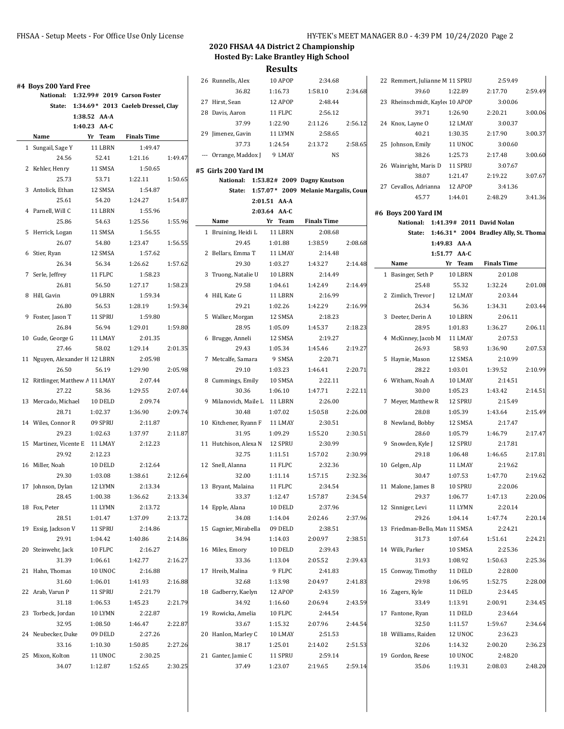|                                  |              |                                           |         | 26 Runnells, Alex             | 10 APOP      | 2:34.68                                     |         | 22 Remmert, Julianne M 11 SPRU  |                | 2:59.49                                      |         |
|----------------------------------|--------------|-------------------------------------------|---------|-------------------------------|--------------|---------------------------------------------|---------|---------------------------------|----------------|----------------------------------------------|---------|
| #4 Boys 200 Yard Free            |              |                                           |         | 36.82                         | 1:16.73      | 1:58.10                                     | 2:34.68 | 39.60                           | 1:22.89        | 2:17.70                                      | 2:59.49 |
|                                  |              | National: 1:32.99# 2019 Carson Foster     |         | 27 Hirst, Sean                | 12 APOP      | 2:48.44                                     |         | 23 Rheinschmidt, Kayle: 10 APOP |                | 3:00.06                                      |         |
|                                  |              | State: 1:34.69* 2013 Caeleb Dressel, Clay |         | 28 Davis, Aaron               | 11 FLPC      | 2:56.12                                     |         | 39.71                           | 1:26.90        | 2:20.21                                      | 3:00.06 |
|                                  | 1:38.52 AA-A |                                           |         | 37.99                         | 1:22.90      | 2:11.26                                     | 2:56.12 | 24 Knox, Layne O                | 12 LMAY        | 3:00.37                                      |         |
|                                  | 1:40.23 AA-C |                                           |         |                               |              |                                             |         |                                 |                |                                              |         |
| Name                             | Yr Team      | <b>Finals Time</b>                        |         | 29 Jimenez, Gavin             | 11 LYMN      | 2:58.65                                     |         | 40.21                           | 1:30.35        | 2:17.90                                      | 3:00.37 |
| 1 Sungail, Sage Y                | 11 LBRN      | 1:49.47                                   |         | 37.73                         | 1:24.54      | 2:13.72                                     | 2:58.65 | 25 Johnson, Emily               | <b>11 UNOC</b> | 3:00.60                                      |         |
| 24.56                            | 52.41        | 1:21.16                                   | 1:49.47 | --- Orrange, Maddox J         | 9 LMAY       | <b>NS</b>                                   |         | 38.26                           | 1:25.73        | 2:17.48                                      | 3:00.60 |
| 2 Kehler, Henry                  | 11 SMSA      | 1:50.65                                   |         | #5 Girls 200 Yard IM          |              |                                             |         | 26 Wainright, Maris D           | 11 SPRU        | 3:07.67                                      |         |
| 25.73                            | 53.71        | 1:22.11                                   | 1:50.65 |                               |              | National: 1:53.82# 2009 Dagny Knutson       |         | 38.07                           | 1:21.47        | 2:19.22                                      | 3:07.67 |
| 3 Antolick, Ethan                | 12 SMSA      | 1:54.87                                   |         |                               |              | State: 1:57.07* 2009 Melanie Margalis, Coun |         | 27 Cevallos, Adrianna           | 12 APOP        | 3:41.36                                      |         |
| 25.61                            | 54.20        | 1:24.27                                   | 1:54.87 |                               | 2:01.51 AA-A |                                             |         | 45.77                           | 1:44.01        | 2:48.29                                      | 3:41.36 |
| 4 Parnell, Will C                | 11 LBRN      | 1:55.96                                   |         |                               | 2:03.64 AA-C |                                             |         | #6 Boys 200 Yard IM             |                |                                              |         |
| 25.86                            | 54.63        | 1:25.56                                   | 1:55.96 | Name                          | Yr Team      | <b>Finals Time</b>                          |         |                                 |                | National: 1:41.39# 2011 David Nolan          |         |
| 5 Herrick, Logan                 | 11 SMSA      | 1:56.55                                   |         | 1 Bruining, Heidi L           | 11 LBRN      | 2:08.68                                     |         |                                 |                | State: 1:46.31* 2004 Bradley Ally, St. Thoma |         |
| 26.07                            | 54.80        | 1:23.47                                   | 1:56.55 | 29.45                         | 1:01.88      | 1:38.59                                     | 2:08.68 |                                 | 1:49.83 AA-A   |                                              |         |
| 6 Stier, Ryan                    | 12 SMSA      | 1:57.62                                   |         | 2 Bellars, Emma T             | 11 LMAY      | 2:14.48                                     |         |                                 | 1:51.77 AA-C   |                                              |         |
| 26.34                            | 56.34        | 1:26.62                                   | 1:57.62 | 29.30                         | 1:03.27      | 1:43.27                                     | 2:14.48 | Name                            | Yr Team        | <b>Finals Time</b>                           |         |
| 7 Serle, Jeffrey                 | 11 FLPC      | 1:58.23                                   |         | 3 Truong, Natalie U           | 10 LBRN      | 2:14.49                                     |         | 1 Basinger, Seth P              | 10 LBRN        | 2:01.08                                      |         |
| 26.81                            | 56.50        | 1:27.17                                   | 1:58.23 | 29.58                         | 1:04.61      | 1:42.49                                     | 2:14.49 | 25.48                           | 55.32          | 1:32.24                                      | 2:01.08 |
| 8 Hill, Gavin                    | 09 LBRN      | 1:59.34                                   |         | 4 Hill, Kate G                | 11 LBRN      | 2:16.99                                     |         | 2 Zimlich, Trevor J             | 12 LMAY        | 2:03.44                                      |         |
| 26.80                            | 56.53        | 1:28.19                                   | 1:59.34 | 29.21                         | 1:02.26      | 1:42.29                                     | 2:16.99 | 26.34                           | 56.36          | 1:34.31                                      | 2:03.44 |
| 9 Foster, Jason T                | 11 SPRU      | 1:59.80                                   |         | 5 Walker, Morgan              | 12 SMSA      | 2:18.23                                     |         | 3 Deeter, Derin A               | 10 LBRN        | 2:06.11                                      |         |
| 26.84                            | 56.94        | 1:29.01                                   | 1:59.80 | 28.95                         | 1:05.09      | 1:45.37                                     | 2:18.23 | 28.95                           | 1:01.83        | 1:36.27                                      | 2:06.11 |
| 10 Gude, George G                | 11 LMAY      | 2:01.35                                   |         | 6 Brugge, Anneli              | 12 SMSA      | 2:19.27                                     |         | 4 McKinney, Jacob M             | 11 LMAY        | 2:07.53                                      |         |
| 27.46                            | 58.02        | 1:29.14                                   | 2:01.35 | 29.43                         | 1:05.34      | 1:45.46                                     | 2:19.27 | 26.93                           | 58.93          | 1:36.90                                      | 2:07.53 |
| 11 Nguyen, Alexander H 12 LBRN   |              | 2:05.98                                   |         | 7 Metcalfe, Samara            | 9 SMSA       | 2:20.71                                     |         | 5 Haynie, Mason                 | 12 SMSA        | 2:10.99                                      |         |
| 26.50                            | 56.19        | 1:29.90                                   | 2:05.98 | 29.10                         | 1:03.23      | 1:46.41                                     | 2:20.71 | 28.22                           | 1:03.01        | 1:39.52                                      | 2:10.99 |
| 12 Rittlinger, Matthew A 11 LMAY |              | 2:07.44                                   |         | 8 Cummings, Emily             | 10 SMSA      | 2:22.11                                     |         | 6 Witham, Noah A                | 10 LMAY        | 2:14.51                                      |         |
| 27.22                            | 58.36        | 1:29.55                                   | 2:07.44 | 30.36                         | 1:06.10      | 1:47.71                                     | 2:22.11 | 30.00                           | 1:05.23        | 1:43.42                                      | 2:14.51 |
| 13 Mercado, Michael              | 10 DELD      | 2:09.74                                   |         | 9 Milanovich, Maile L 11 LBRN |              | 2:26.00                                     |         | 7 Meyer, Matthew R              | 12 SPRU        | 2:15.49                                      |         |
| 28.71                            | 1:02.37      | 1:36.90                                   | 2:09.74 | 30.48                         | 1:07.02      | 1:50.58                                     | 2:26.00 | 28.08                           | 1:05.39        | 1:43.64                                      | 2:15.49 |
| 14 Wiles, Connor R               | 09 SPRU      | 2:11.87                                   |         | 10 Kitchener, Ryann F         | 11 LMAY      | 2:30.51                                     |         | 8 Newland, Bobby                | 12 SMSA        | 2:17.47                                      |         |
| 29.23                            | 1:02.63      | 1:37.97                                   | 2:11.87 | 31.95                         | 1:09.29      | 1:55.20                                     | 2:30.51 | 28.60                           | 1:05.79        | 1:46.79                                      | 2:17.47 |
| 15 Martinez, Vicente E 11 LMAY   |              | 2:12.23                                   |         | 11 Hutchison, Alexa N         | 12 SPRU      | 2:30.99                                     |         | 9 Snowden, Kyle J               | 12 SPRU        | 2:17.81                                      |         |
| 29.92                            | 2:12.23      |                                           |         | 32.75                         | 1:11.51      | 1:57.02                                     | 2:30.99 | 29.18                           | 1:06.48        | 1:46.65                                      | 2:17.81 |
| 16 Miller, Noah                  | 10 DELD      | 2:12.64                                   |         | 12 Snell, Alanna              | 11 FLPC      | 2:32.36                                     |         | 10 Gelgen, Alp                  | 11 LMAY        | 2:19.62                                      |         |
| 29.30                            | 1:03.08      | 1:38.61                                   | 2:12.64 | 32.00                         | 1:11.14      | 1:57.15                                     | 2:32.36 | 30.47                           | 1:07.53        | 1:47.70                                      | 2:19.62 |
| 17 Johnson, Dylan                | 12 LYMN      | 2:13.34                                   |         | 13 Bryant, Malaina            | 11 FLPC      | 2:34.54                                     |         | 11 Malone, James B              | 10 SPRU        | 2:20.06                                      |         |
| 28.45                            | 1:00.38      | 1:36.62                                   | 2:13.34 | 33.37                         | 1:12.47      | 1:57.87                                     | 2:34.54 | 29.37                           | 1:06.77        | 1:47.13                                      | 2:20.06 |
| 18 Fox, Peter                    | 11 LYMN      | 2:13.72                                   |         | 14 Epple, Alana               | 10 DELD      | 2:37.96                                     |         | 12 Sinniger, Levi               | 11 LYMN        | 2:20.14                                      |         |
| 28.51                            | 1:01.47      | 1:37.09                                   | 2:13.72 | 34.08                         | 1:14.04      | 2:02.46                                     | 2:37.96 | 29.26                           | 1:04.14        | 1:47.74                                      | 2:20.14 |
| 19 Essig, Jackson V              | 11 SPRU      | 2:14.86                                   |         | 15 Gagnier, Mirabella         | 09 DELD      | 2:38.51                                     |         | 13 Friedman-Bello, Matı 11 SMSA |                | 2:24.21                                      |         |
| 29.91                            | 1:04.42      | 1:40.86                                   | 2:14.86 | 34.94                         | 1:14.03      | 2:00.97                                     | 2:38.51 | 31.73                           | 1:07.64        | 1:51.61                                      | 2:24.21 |
| 20 Steinwehr, Jack               | 10 FLPC      | 2:16.27                                   |         | 16 Miles, Emory               | 10 DELD      | 2:39.43                                     |         | 14 Wilk, Parker                 | 10 SMSA        | 2:25.36                                      |         |
| 31.39                            | 1:06.61      | 1:42.77                                   | 2:16.27 | 33.36                         | 1:13.04      | 2:05.52                                     | 2:39.43 | 31.93                           | 1:08.92        | 1:50.63                                      | 2:25.36 |
| 21 Hahn, Thomas                  | 10 UNOC      | 2:16.88                                   |         | 17 Hreib, Malina              | 9 FLPC       | 2:41.83                                     |         | 15 Conway, Timothy              | 11 DELD        | 2:28.00                                      |         |
| 31.60                            | 1:06.01      | 1:41.93                                   | 2:16.88 | 32.68                         | 1:13.98      | 2:04.97                                     | 2:41.83 | 29.98                           | 1:06.95        | 1:52.75                                      | 2:28.00 |
| 22 Arab, Varun P                 | 11 SPRU      | 2:21.79                                   |         | 18 Gadberry, Kaelyn           | 12 APOP      | 2:43.59                                     |         | 16 Zagers, Kyle                 | 11 DELD        | 2:34.45                                      |         |
| 31.18                            | 1:06.53      | 1:45.23                                   | 2:21.79 | 34.92                         | 1:16.60      | 2:06.94                                     | 2:43.59 | 33.49                           | 1:13.91        | 2:00.91                                      | 2:34.45 |
| 23 Torbeck, Jordan               | 10 LYMN      | 2:22.87                                   |         | 19 Rowicka, Amelia            | 10 FLPC      | 2:44.54                                     |         | 17 Fantone, Ryan                | 11 DELD        | 2:34.64                                      |         |
| 32.95                            | 1:08.50      | 1:46.47                                   | 2:22.87 | 33.67                         | 1:15.32      | 2:07.96                                     | 2:44.54 | 32.50                           | 1:11.57        | 1:59.67                                      | 2:34.64 |
| 24 Neubecker, Duke               | 09 DELD      | 2:27.26                                   |         | 20 Hanlon, Marley C           | 10 LMAY      | 2:51.53                                     |         | 18 Williams, Raiden             | 12 UNOC        | 2:36.23                                      |         |
| 33.16                            | 1:10.30      | 1:50.85                                   | 2:27.26 | 38.17                         | 1:25.01      | 2:14.02                                     | 2:51.53 | 32.06                           | 1:14.32        | 2:00.20                                      | 2:36.23 |
| 25 Mixon, Kolton                 | 11 UNOC      | 2:30.25                                   |         | 21 Ganter, Jamie C            | 11 SPRU      | 2:59.14                                     |         | 19 Gordon, Reese                | 10 UNOC        | 2:48.20                                      |         |
| 34.07                            | 1:12.87      | 1:52.65                                   | 2:30.25 | 37.49                         | 1:23.07      | 2:19.65                                     | 2:59.14 | 35.06                           | 1:19.31        | 2:08.03                                      | 2:48.20 |
|                                  |              |                                           |         |                               |              |                                             |         |                                 |                |                                              |         |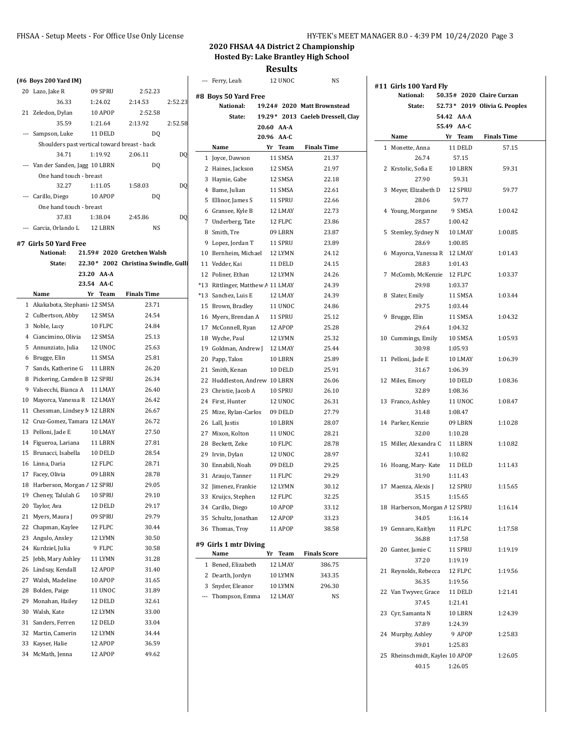|    | (#6 Boys 200 Yard IM)                                           |                    |                                      |               | --- Ferry, Leah                   | 12 UNOC                  | NS                                |                                 |       |                   |                                |
|----|-----------------------------------------------------------------|--------------------|--------------------------------------|---------------|-----------------------------------|--------------------------|-----------------------------------|---------------------------------|-------|-------------------|--------------------------------|
|    | 20 Lazo, Jake R                                                 | 09 SPRU            | 2:52.23                              |               |                                   |                          |                                   | #11 Girls 100 Yard Fly          |       |                   |                                |
|    | 36.33                                                           | 1:24.02            | 2:14.53                              | 2:52.23       | #8 Boys 50 Yard Free<br>National: |                          | 19.24# 2020 Matt Brownstead       | National:<br>State:             |       |                   | 50.35# 2020 Claire Curzan      |
|    | 21 Zeledon, Dylan                                               | 10 APOP            | 2:52.58                              |               | State:                            |                          |                                   |                                 |       | 54.42 AA-A        | 52.73 * 2019 Olivia G. Peoples |
|    | 35.59                                                           | 1:21.64            | 2:13.92                              | 2:52.58       |                                   |                          | 19.29* 2013 Caeleb Dressell, Clay |                                 |       | 55.49 AA-C        |                                |
|    | --- Sampson, Luke                                               | 11 DELD            | DQ                                   |               |                                   | 20.60 AA-A<br>20.96 AA-C |                                   | Name                            |       | Yr Team           | <b>Finals Time</b>             |
|    | Shoulders past vertical toward breast - back                    |                    |                                      |               | Name                              | Yr Team                  | <b>Finals Time</b>                | 1 Monette, Anna                 |       | 11 DELD           | 57.15                          |
|    | 34.71                                                           | 1:19.92            | 2:06.11                              | DO            | 1 Joyce, Dawson                   | 11 SMSA                  | 21.37                             |                                 | 26.74 | 57.15             |                                |
|    | --- Van der Sanden, Jagg 10 LBRN                                |                    | DQ                                   |               | 2 Haines, Jackson                 | 12 SMSA                  | 21.97                             | 2 Krstolic, Sofia E             |       | 10 LBRN           | 59.31                          |
|    | One hand touch - breast                                         |                    |                                      |               | 3 Haynie, Gabe                    | 12 SMSA                  | 22.18                             |                                 | 27.90 | 59.31             |                                |
|    | 32.27                                                           | 1:11.05            | 1:58.03                              | <sub>DO</sub> | 4 Bame, Julian                    | 11 SMSA                  | 22.61                             | 3 Meyer, Elizabeth D            |       | 12 SPRU           | 59.77                          |
|    | --- Carillo, Diego                                              | 10 APOP            | DQ                                   |               | 5 Ellinor, James S                | 11 SPRU                  | 22.66                             |                                 | 28.06 | 59.77             |                                |
|    | One hand touch - breast                                         |                    |                                      |               |                                   |                          |                                   |                                 |       |                   |                                |
|    | 37.83                                                           | 1:38.04            | 2:45.86                              | <sub>DO</sub> | 6 Gransee, Kyle B                 | 12 LMAY                  | 22.73<br>23.86                    | 4 Young, Morganne               | 28.57 | 9 SMSA<br>1:00.42 | 1:00.42                        |
|    | --- Garcia, Orlando L                                           | 12 LBRN            | NS                                   |               | 7 Underberg, Tate                 | 12 FLPC                  |                                   |                                 |       |                   |                                |
|    |                                                                 |                    |                                      |               | 8 Smith, Tre                      | 09 LBRN                  | 23.87                             | 5 Stemley, Sydney N             |       | 10 LMAY           | 1:00.85                        |
|    | #7 Girls 50 Yard Free<br>National:                              |                    | 21.59# 2020 Gretchen Walsh           |               | 9 Lopez, Jordan T                 | 11 SPRU                  | 23.89                             |                                 | 28.69 | 1:00.85           |                                |
|    | State:                                                          |                    | 22.30* 2002 Christina Swindle, Gulli |               | 10 Bernheim, Michael              | 12 LYMN                  | 24.12                             | 6 Mayorca, Vanessa R 12 LMAY    |       |                   | 1:01.43                        |
|    |                                                                 | 23.20 AA-A         |                                      |               | 11 Vedder, Kai                    | 11 DELD                  | 24.15                             |                                 | 28.83 | 1:01.43           |                                |
|    |                                                                 | 23.54 AA-C         |                                      |               | 12 Poliner, Ethan                 | 12 LYMN                  | 24.26                             | 7 McComb, McKenzie              |       | 12 FLPC           | 1:03.37                        |
|    | Name                                                            | Yr Team            | <b>Finals Time</b>                   |               | *13 Rittlinger, Matthew A 11 LMAY |                          | 24.39                             |                                 | 29.98 | 1:03.37           |                                |
|    | 1 Akakabota, Stephani 12 SMSA                                   |                    | 23.71                                |               | *13 Sanchez, Luis E               | 12 LMAY                  | 24.39                             | 8 Slater, Emily                 |       | 11 SMSA           | 1:03.44                        |
|    | 2 Culbertson, Abby                                              | 12 SMSA            | 24.54                                |               | 15 Brown, Bradley                 | 11 UNOC                  | 24.86                             |                                 | 29.75 | 1:03.44           |                                |
|    | 3 Noble, Lucy                                                   | 10 FLPC            | 24.84                                |               | 16 Myers, Brendan A               | 11 SPRU                  | 25.12                             | 9 Brugge, Elin                  |       | 11 SMSA           | 1:04.32                        |
|    | 4 Ciancimino, Olivia                                            | 12 SMSA            | 25.13                                |               | 17 McConnell, Ryan                | 12 APOP                  | 25.28                             |                                 | 29.64 | 1:04.32           |                                |
|    | 5 Annunziato, Julia                                             | 12 UNOC            | 25.63                                |               | 18 Wyche, Paul                    | 12 LYMN                  | 25.32                             | 10 Cummings, Emily              |       | 10 SMSA           | 1:05.93                        |
|    | 6 Brugge, Elin                                                  | 11 SMSA            | 25.81                                |               | 19 Goldman, Andrew J              | 12 LMAY                  | 25.44                             |                                 | 30.98 | 1:05.93           |                                |
|    | 7 Sands, Katherine G 11 LBRN                                    |                    | 26.20                                |               | 20 Papp, Talon                    | 10 LBRN                  | 25.89                             | 11 Pelloni, Jade E              |       | 10 LMAY           | 1:06.39                        |
|    | 8 Pickering, Camden B 12 SPRU                                   |                    | 26.34                                |               | 21 Smith, Kenan                   | 10 DELD                  | 25.91                             |                                 | 31.67 | 1:06.39           |                                |
|    |                                                                 |                    | 26.40                                |               | 22 Huddleston, Andrew 10 LBRN     |                          | 26.06                             | 12 Miles, Emory                 |       | 10 DELD           | 1:08.36                        |
|    | 9 Valsecchi, Bianca A 11 LMAY                                   |                    |                                      |               | 23 Christie, Jacob A              | 10 SPRU                  | 26.10                             |                                 | 32.89 | 1:08.36           |                                |
|    | 10 Mayorca, Vanessa R 12 LMAY<br>11 Chessman, Lindsey M 12 LBRN |                    | 26.42<br>26.67                       |               | 24 First, Hunter                  | 12 UNOC                  | 26.31                             | 13 Franco, Ashley               |       | 11 UNOC           | 1:08.47                        |
|    | 12 Cruz-Gomez, Tamara 12 LMAY                                   |                    | 26.72                                |               | 25 Mize, Rylan-Carlos             | 09 DELD                  | 27.79                             |                                 | 31.48 | 1:08.47           |                                |
|    |                                                                 |                    | 27.50                                |               | 26 Lall, Justis                   | 10 LBRN                  | 28.07                             | 14 Parker, Kenzie               |       | 09 LBRN           | 1:10.28                        |
|    | 13 Pelloni, Jade E<br>14 Figueroa, Lariana                      | 10 LMAY<br>11 LBRN | 27.81                                |               | 27 Mixon, Kolton                  | 11 UNOC                  | 28.21                             |                                 | 32.00 | 1:10.28           |                                |
|    |                                                                 |                    | 28.54                                |               | 28 Beckett, Zeke                  | 10 FLPC                  | 28.78                             | 15 Miller, Alexandra C          |       | 11 LBRN           | 1:10.82                        |
|    | 15 Brunacci, Isabella                                           | 10 DELD            |                                      |               | 29 Irvin, Dylan                   | 12 UNOC                  | 28.97                             |                                 | 32.41 | 1:10.82           |                                |
|    | 16 Linna, Daria                                                 | 12 FLPC<br>09 LBRN | 28.71<br>28.78                       |               | 30 Ennabili, Noah                 | 09 DELD                  | 29.25                             | 16 Hoang, Mary-Kate             |       | 11 DELD           | 1:11.43                        |
|    | 17 Facey, Olivia<br>18 Harberson, Morgan / 12 SPRU              |                    |                                      |               | 31 Araujo, Tanner                 | 11 FLPC                  | 29.29                             |                                 | 31.90 | 1:11.43           |                                |
|    |                                                                 |                    | 29.05                                |               | 32 Jimenez, Frankie               | 12 LYMN                  | 30.12                             | 17 Maenza, Alexis J             |       | 12 SPRU           | 1:15.65                        |
|    | 19 Cheney, Talulah G                                            | 10 SPRU            | 29.10                                |               | 33 Kruijcs, Stephen               | 12 FLPC                  | 32.25                             |                                 | 35.15 | 1:15.65           |                                |
|    | 20 Taylor, Ava                                                  | 12 DELD            | 29.17                                |               | 34 Carillo, Diego                 | 10 APOP                  | 33.12                             | 18 Harberson, Morgan / 12 SPRU  |       |                   | 1:16.14                        |
|    | 21 Myers, Maura J                                               | 09 SPRU            | 29.79                                |               | 35 Schultz, Jonathan              | 12 APOP                  | 33.23                             |                                 | 34.05 | 1:16.14           |                                |
|    | 22 Chapman, Kaylee                                              | 12 FLPC            | 30.44                                |               | 36 Thomas, Troy                   | 11 APOP                  | 38.58                             | 19 Gennaro, Kaitlyn             |       | 11 FLPC           | 1:17.58                        |
|    | 23 Angulo, Ansley                                               | 12 LYMN            | 30.50                                |               | #9 Girls 1 mtr Diving             |                          |                                   |                                 | 36.88 | 1:17.58           |                                |
|    | 24 Kurdziel, Julia                                              | 9 FLPC             | 30.58                                |               | Name                              | Yr Team                  | <b>Finals Score</b>               | 20 Ganter, Jamie C              |       | 11 SPRU           | 1:19.19                        |
| 25 | Jebb, Mary Ashley                                               | 11 LYMN            | 31.28                                |               | 1 Bened, Elizabeth                | 12 LMAY                  | 386.75                            |                                 | 37.20 | 1:19.19           |                                |
|    | 26 Lindsay, Kendall                                             | 12 APOP            | 31.40                                |               | 2 Dearth, Jordyn                  | 10 LYMN                  | 343.35                            | 21 Reynolds, Rebecca            |       | 12 FLPC           | 1:19.56                        |
| 27 | Walsh, Madeline                                                 | 10 APOP            | 31.65                                |               | 3 Snyder, Eleanor                 | 10 LYMN                  | 296.30                            |                                 | 36.35 | 1:19.56           |                                |
| 28 | Bolden, Paige                                                   | 11 UNOC            | 31.89                                |               | --- Thompson, Emma                | 12 LMAY                  | NS                                | 22 Van Twyver, Grace            |       | 11 DELD           | 1:21.41                        |
|    | 29 Monahan, Hailey                                              | 12 DELD            | 32.61                                |               |                                   |                          |                                   |                                 | 37.45 | 1:21.41           |                                |
|    | 30 Walsh, Kate                                                  | 12 LYMN            | 33.00                                |               |                                   |                          |                                   | 23 Cyr, Samanta N               |       | 10 LBRN           | 1:24.39                        |
|    | 31 Sanders, Ferren                                              | 12 DELD            | 33.04                                |               |                                   |                          |                                   |                                 | 37.89 | 1:24.39           |                                |
|    | 32 Martin, Camerin                                              | 12 LYMN            | 34.44                                |               |                                   |                          |                                   | 24 Murphy, Ashley               |       | 9 APOP            | 1:25.83                        |
|    | 33 Kayser, Halie                                                | 12 APOP            | 36.59                                |               |                                   |                          |                                   |                                 | 39.01 | 1:25.83           |                                |
|    | 34 McMath, Jenna                                                | 12 APOP            | 49.62                                |               |                                   |                          |                                   | 25 Rheinschmidt, Kayle: 10 APOP |       |                   | 1:26.05                        |
|    |                                                                 |                    |                                      |               |                                   |                          |                                   |                                 | 40.15 | 1:26.05           |                                |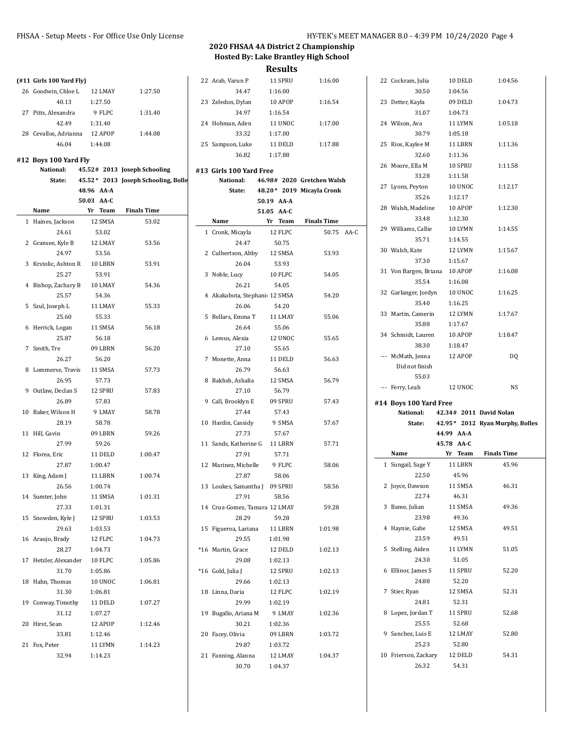50.75 AA-C

|                                |                          |                                     |                               | 11630163   |                            |
|--------------------------------|--------------------------|-------------------------------------|-------------------------------|------------|----------------------------|
| $($ #11 Girls 100 Yard Fly $)$ |                          |                                     | 22 Arab, Varun P              | 11 SPRU    | 1:16.00                    |
| 26 Goodwin, Chloe L            | 12 LMAY                  | 1:27.50                             | 34.47                         | 1:16.00    |                            |
| 40.13                          | 1:27.50                  |                                     | 23 Zeledon, Dylan             | 10 APOP    | 1:16.54                    |
| 27 Pitts, Alexandra            | 9 FLPC                   | 1:31.40                             | 34.97                         | 1:16.54    |                            |
| 42.49                          | 1:31.40                  |                                     | 24 Hohman, Aden               | 11 UNOC    | 1:17.00                    |
| 28 Cevallos, Adrianna          | 12 APOP                  | 1:44.08                             | 33.32                         | 1:17.00    |                            |
| 46.04                          | 1:44.08                  |                                     | 25 Sampson, Luke              | 11 DELD    | 1:17.88                    |
|                                |                          |                                     | 36.82                         | 1:17.88    |                            |
| #12 Boys 100 Yard Fly          |                          |                                     |                               |            |                            |
| National:                      |                          | 45.52# 2013 Joseph Schooling        | #13 Girls 100 Yard Free       |            |                            |
| State:                         |                          | 45.52* 2013 Joseph Schooling, Bolle | National:                     |            | 46.98# 2020 Gretchen Walsh |
|                                | 48.96 AA-A<br>50.03 AA-C |                                     | State:                        | 50.19 AA-A | 48.20* 2019 Micayla Cronk  |
| Name                           | Yr Team                  | <b>Finals Time</b>                  |                               | 51.05 AA C |                            |
| 1 Haines, Jackson              | 12 SMSA                  | 53.02                               | Name                          | Yr Team    | <b>Finals Time</b>         |
| 24.61                          | 53.02                    |                                     | 1 Cronk, Micayla              | 12 FLPC    | $50.75$ /                  |
| 2 Gransee, Kyle B              | 12 LMAY                  | 53.56                               | 24.47                         | 50.75      |                            |
| 24.97                          | 53.56                    |                                     | 2 Culbertson, Abby            | 12 SMSA    | 53.93                      |
| 3 Krstolic, Ashton R           | 10 LBRN                  | 53.91                               | 26.04                         | 53.93      |                            |
| 25.27                          | 53.91                    |                                     | 3 Noble, Lucy                 | 10 FLPC    | 54.05                      |
| 4 Bishop, Zachary B            | 10 LMAY                  | 54.36                               | 26.21                         | 54.05      |                            |
| 25.57                          | 54.36                    |                                     | 4 Akakabota, Stephani 12 SMSA |            | 54.20                      |
| 5 Szul, Joseph L               | 11 LMAY                  | 55.33                               | 26.06                         | 54.20      |                            |
| 25.60                          | 55.33                    |                                     | 5 Bellars. Emma T             | 11 LMAY    | 55.06                      |
| 6 Herrick, Logan               | 11 SMSA                  | 56.18                               | 26.64                         | 55.06      |                            |
| 25.87                          | 56.18                    |                                     | 6 Lemus, Alexia               | 12 UNOC    | 55.65                      |
| 7 Smith, Tre                   | 09 LBRN                  | 56.20                               | 27.10                         | 55.65      |                            |
| 26.27                          | 56.20                    |                                     | 7 Monette, Anna               | 11 DELD    | 56.63                      |
| 8 Lommerse, Travis             | 11 SMSA                  | 57.73                               | 26.79                         | 56.63      |                            |
| 26.95                          | 57.73                    |                                     | 8 Bakhsh, Ashalia             | 12 SMSA    | 56.79                      |
| 9 Outlaw, Declan S             | 12 SPRU                  | 57.83                               | 27.10                         | 56.79      |                            |
| 26.89                          | 57.83                    |                                     | 9 Call, Brooklyn E            | 09 SPRU    | 57.43                      |
| 10 Baker, Wilson H             | 9 LMAY                   | 58.78                               | 27.44                         | 57.43      |                            |
| 28.19                          | 58.78                    |                                     | 10 Hardin, Cassidy            | 9 SMSA     | 57.67                      |
| 11 Hill, Gavin                 | 09 LBRN                  | 59.26                               | 27.73                         | 57.67      |                            |
| 27.99                          | 59.26                    |                                     | 11 Sands, Katherine G         | 11 LBRN    | 57.71                      |
| 12 Florea Eric                 | 11 DELD                  | 1:00.47                             | 27.91                         | 57.71      |                            |
| 27.87                          | 1:00.47                  |                                     | 12 Marinez, Michelle          | 9 FLPC     | 58.06                      |
| 13 King, Adam J                | 11 LBRN                  | 1:00.74                             | 27.87                         | 58.06      |                            |
| 26.56                          | 1:00.74                  |                                     | 13 Loukes, Samantha J 09 SPRU |            | 58.56                      |
| 14 Sumter, John                | 11 SMSA                  | 1:01.31                             | 27.91                         | 58.56      |                            |
| 27.33                          | 1:01.31                  |                                     | 14 Cruz-Gomez, Tamara 12 LMAY |            | 59.28                      |
| 15 Snowden, Kyle J             | 12 SPRU                  | 1:03.53                             | 28.29                         | 59.28      |                            |
| 29.63                          | 1:03.53                  |                                     | 15 Figueroa, Lariana          | 11 LBRN    | 1:01.98                    |
| 16 Araujo, Brady               | 12 FLPC                  | 1:04.73                             | 29.55                         | 1:01.98    |                            |
| 28.27                          | 1:04.73                  |                                     | *16 Martin, Grace             | 12 DELD    | 1.02.13                    |
| 17 Hetzler, Alexander          | 10 FLPC                  | 1:05.86                             | 29.08                         | 1:02.13    |                            |
| 31.70                          | 1:05.86                  |                                     | *16 Gold, Julia J             | 12 SPRU    | 1:02.13                    |
| 18 Hahn, Thomas                | 10 UNOC                  | 1:06.81                             | 29.66                         | 1:02.13    |                            |
| 31.30                          | 1:06.81                  |                                     | 18 Linna, Daria               | 12 FLPC    | 1:02.19                    |
| 19 Conway, Timothy             | 11 DELD                  | 1:07.27                             | 29.99                         | 1:02.19    |                            |
| 31.12                          | 1:07.27                  |                                     | 19 Bugallo, Ariana M          | 9 LMAY     | 1:02.36                    |
| 20 Hirst, Sean                 | 12 APOP                  | 1:12.46                             | 30.21                         | 1:02.36    |                            |
| 33.81                          | 1:12.46                  |                                     | 20 Facey, Olivia              | 09 LBRN    | 1.03.72                    |
| 21 Fox, Peter                  | 11 LYMN                  | 1:14.23                             | 29.87                         | 1:03.72    |                            |
| 32.94                          | 1:14.23                  |                                     | 21 Fanning, Alanna            | 12 LMAY    | 1:04.37                    |
|                                |                          |                                     | 30.70                         | 1:04.37    |                            |
|                                |                          |                                     |                               |            |                            |

|   | 22 Cockram, Julia                     |            | 10 DELD    | 1:04.56                         |  |
|---|---------------------------------------|------------|------------|---------------------------------|--|
|   | 30.50                                 |            | 1:04.56    |                                 |  |
|   | 23 Detter, Kayla                      |            | 09 DELD    | 1:04.73                         |  |
|   | 31.07                                 |            | 1:04.73    |                                 |  |
|   | 24 Wilson. Ava                        |            | 11 LYMN    | 1:05.18                         |  |
|   | 30.79                                 |            | 1:05.18    |                                 |  |
|   | 25 Rios, Kaylee M                     |            | 11 LBRN    | 1:11.36                         |  |
|   | 32.60                                 |            | 1:11.36    |                                 |  |
|   | 26 Moore, Ella M                      |            | 10 SPRU    | 1:11.58                         |  |
|   | 33.28                                 |            | 1:11.58    |                                 |  |
|   | 27 Lyons, Peyton                      |            | 10 UNOC    | 1:12.17                         |  |
|   | 35.26                                 |            | 1:12.17    |                                 |  |
|   | 28 Walsh, Madeline 10 APOP            |            |            | 1:12.30                         |  |
|   | 33.48                                 |            | 1:12.30    |                                 |  |
|   | 29 Williams, Callie 10 LYMN           |            |            | 1:14.55                         |  |
|   | 35.71                                 |            | 1:14.55    |                                 |  |
|   | 30 Walsh, Kate                        |            | 12 LYMN    | 1:15.67                         |  |
|   | 37.30                                 |            | 1:15.67    |                                 |  |
|   | 31 Von Bargen, Briana                 |            | 10 APOP    | 1:16.08                         |  |
|   | 35.54                                 |            | 1:16.08    |                                 |  |
|   | 32 Garlanger, Jordyn                  |            | 10 UNOC    | 1:16.25                         |  |
|   | 35.40                                 |            | 1:16.25    |                                 |  |
|   | 33 Martin, Camerin                    |            | 12 LYMN    | 1:17.67                         |  |
|   | 35.88                                 |            | 1:17.67    |                                 |  |
|   | 34 Schmidt, Lauren 10 APOP            |            |            | 1:18.47                         |  |
|   | 38.30                                 |            | 1:18.47    |                                 |  |
|   | --- McMath, Jenna                     |            | 12 APOP    | DQ                              |  |
|   | Did not finish                        |            |            |                                 |  |
|   |                                       |            |            |                                 |  |
|   | 55.03                                 |            |            |                                 |  |
|   | --- Ferry, Leah                       |            | 12 UNOC    | NS                              |  |
|   | #14 Boys 100 Yard Free                |            |            |                                 |  |
|   | National:                             |            |            | 42.34# 2011 David Nolan         |  |
|   | State:                                |            |            | 42.95* 2012 Ryan Murphy, Bolles |  |
|   |                                       |            | 44.99 AA-A |                                 |  |
|   |                                       | 45.78 AA-C |            |                                 |  |
|   | Name                                  |            | Yr Team    | <b>Finals Time</b>              |  |
|   | 1 Sungail, Sage Y                     |            | 11 LBRN    | 45.96                           |  |
|   | 22.50                                 |            | 45.96      |                                 |  |
|   | 2 Joyce, Dawson                       |            | 11 SMSA    | 46.31                           |  |
|   | 22.74                                 |            | 46.31      |                                 |  |
| 3 | Bame, Julian                          |            | 11 SMSA    | 49.36                           |  |
|   | 23.98                                 |            | 49.36      |                                 |  |
| 4 | Haynie, Gabe                          |            | 12 SMSA    | 49.51                           |  |
|   | 23.59                                 |            | 49.51      |                                 |  |
| 5 | Stelling, Aiden 11 LYMN               |            |            | 51.05                           |  |
|   | 24.30                                 |            | 51.05      |                                 |  |
| 6 | Ellinor, James S                      |            | 11 SPRU    | 52.20                           |  |
|   | 24.88                                 |            | 52.20      |                                 |  |
| 7 | Stier, Ryan                           |            | 12 SMSA    | 52.31                           |  |
|   | 24.81                                 |            | 52.31      |                                 |  |
| 8 | Lopez, Jordan T                       |            | 11 SPRU    | 52.68                           |  |
|   | 25.55                                 |            | 52.68      |                                 |  |
|   | 9 Sanchez, Luis E                     |            | 12 LMAY    | 52.80                           |  |
|   | 25.23                                 |            | 52.80      |                                 |  |
|   | 10 Frierson, Zackary 12 DELD<br>26.32 |            | 54.31      | 54.31                           |  |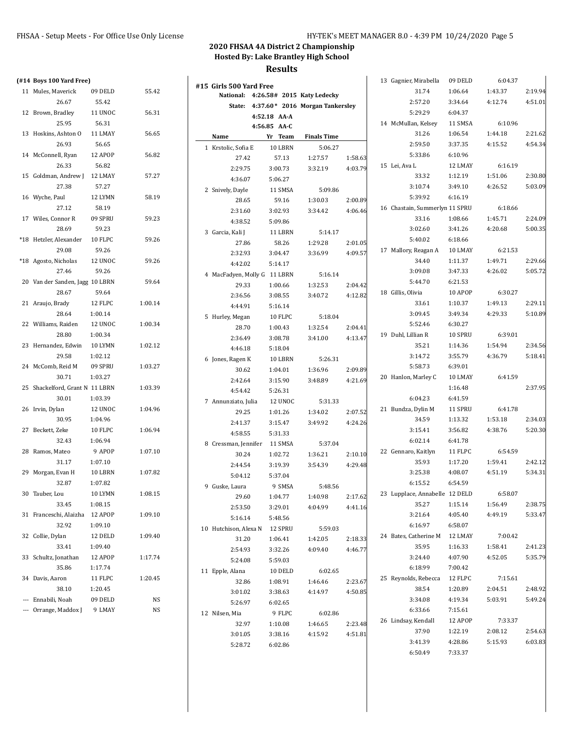| (#14 Boys 100 Yard Free)        |                    |         |                                      |                    |                                        |                    | 13 Gagnier, Mirabella          | 09 DELD            | 6:04.37 |         |
|---------------------------------|--------------------|---------|--------------------------------------|--------------------|----------------------------------------|--------------------|--------------------------------|--------------------|---------|---------|
| 11 Mules, Maverick              | 09 DELD            | 55.42   | #15 Girls 500 Yard Free              |                    |                                        |                    | 31.74                          | 1:06.64            | 1:43.37 | 2:19.94 |
| 26.67                           | 55.42              |         | National: 4:26.58# 2015 Katy Ledecky |                    | State: 4:37.60* 2016 Morgan Tankersley |                    | 2:57.20                        | 3:34.64            | 4:12.74 | 4:51.01 |
| 12 Brown, Bradley               | 11 UNOC            | 56.31   |                                      | 4:52.18 AA-A       |                                        |                    | 5:29.29                        | 6:04.37            |         |         |
| 25.95                           | 56.31              |         |                                      | 4:56.85 AA-C       |                                        |                    | 14 McMullan, Kelsey            | 11 SMSA            | 6:10.96 |         |
| 13 Hoskins, Ashton O            | 11 LMAY            | 56.65   | Name                                 | Yr Team            | <b>Finals Time</b>                     |                    | 31.26                          | 1:06.54            | 1:44.18 | 2:21.62 |
| 26.93                           | 56.65              |         | 1 Krstolic, Sofia E                  | 10 LBRN            | 5:06.27                                |                    | 2:59.50                        | 3:37.35            | 4:15.52 | 4:54.34 |
| 14 McConnell, Ryan              | 12 APOP            | 56.82   | 27.42                                | 57.13              | 1:27.57                                | 1:58.63            | 5:33.86                        | 6:10.96            |         |         |
| 26.33                           | 56.82              |         | 2:29.75                              | 3:00.73            | 3:32.19                                | 4:03.79            | 15 Lei, Ava L                  | 12 LMAY            | 6:16.19 |         |
| 15 Goldman, Andrew J            | 12 LMAY            | 57.27   | 4:36.07                              | 5:06.27            |                                        |                    | 33.32                          | 1:12.19            | 1:51.06 | 2:30.80 |
| 27.38                           | 57.27              |         | 2 Snively, Dayle                     | 11 SMSA            | 5:09.86                                |                    | 3:10.74                        | 3:49.10            | 4:26.52 | 5:03.09 |
| 16 Wyche, Paul                  | 12 LYMN            | 58.19   | 28.65                                | 59.16              | 1:30.03                                | 2:00.89            | 5:39.92                        | 6:16.19            |         |         |
| 27.12                           | 58.19              |         | 2:31.60                              | 3:02.93            | 3:34.42                                | 4:06.46            | 16 Chastain, Summerlyr 11 SPRU |                    | 6:18.66 |         |
| 17 Wiles, Connor R              | 09 SPRU            | 59.23   | 4:38.52                              | 5:09.86            |                                        |                    | 33.16                          | 1:08.66            | 1:45.71 | 2:24.09 |
| 28.69                           | 59.23              |         | 3 Garcia, Kali J                     | 11 LBRN            | 5:14.17                                |                    | 3:02.60                        | 3:41.26            | 4:20.68 | 5:00.35 |
| *18 Hetzler, Alexander          | 10 FLPC            | 59.26   | 27.86                                | 58.26              | 1:29.28                                | 2:01.05            | 5:40.02                        | 6:18.66            |         |         |
| 29.08                           | 59.26              |         | 2:32.93                              | 3:04.47            | 3:36.99                                | 4:09.57            | 17 Mallory, Reagan A           | 10 LMAY            | 6:21.53 |         |
| *18 Agosto, Nicholas            | 12 UNOC            | 59.26   | 4:42.02                              | 5:14.17            |                                        |                    | 34.40                          | 1:11.37            | 1:49.71 | 2:29.66 |
| 27.46                           | 59.26              |         | 4 MacFadyen, Molly G 11 LBRN         |                    | 5:16.14                                |                    | 3:09.08                        | 3:47.33            | 4:26.02 | 5:05.72 |
| 20 Van der Sanden, Jagg 10 LBRN |                    | 59.64   | 29.33                                | 1:00.66            | 1:32.53                                | 2:04.42            | 5:44.70                        | 6:21.53            |         |         |
| 28.67                           | 59.64              |         | 2:36.56                              | 3:08.55            | 3:40.72                                | 4:12.82            | 18 Gillis, Olivia              | 10 APOP            | 6:30.27 |         |
| 21 Araujo, Brady                | 12 FLPC            | 1:00.14 | 4:44.91                              | 5:16.14            |                                        |                    | 33.61                          | 1:10.37            | 1:49.13 | 2:29.11 |
| 28.64                           | 1:00.14            |         | 5 Hurley, Megan                      | 10 FLPC            | 5:18.04                                |                    | 3:09.45                        | 3:49.34            | 4:29.33 | 5:10.89 |
| 22 Williams, Raiden             | 12 UNOC            | 1:00.34 | 28.70                                | 1:00.43            | 1:32.54                                | 2:04.41            | 5:52.46                        | 6:30.27            |         |         |
| 28.80<br>23 Hernandez, Edwin    | 1:00.34<br>10 LYMN |         | 2:36.49                              | 3:08.78            | 3:41.00                                | 4:13.47            | 19 Duhl, Lillian R             | 10 SPRU            | 6:39.01 | 2:34.56 |
| 29.58                           | 1:02.12            | 1:02.12 | 4:46.18                              | 5:18.04            |                                        |                    | 35.21                          | 1:14.36<br>3:55.79 | 1:54.94 | 5:18.41 |
| 24 McComb, Reid M               | 09 SPRU            | 1:03.27 | 6 Jones, Ragen K                     | 10 LBRN            | 5:26.31                                |                    | 3:14.72<br>5:58.73             | 6:39.01            | 4:36.79 |         |
| 30.71                           | 1:03.27            |         | 30.62                                | 1:04.01            | 1:36.96                                | 2:09.89            | 20 Hanlon, Marley C            | 10 LMAY            | 6:41.59 |         |
| 25 Shackelford, Grant N 11 LBRN |                    | 1:03.39 | 2:42.64                              | 3:15.90            | 3:48.89                                | 4:21.69            |                                | 1:16.48            |         | 2:37.95 |
| 30.01                           | 1:03.39            |         | 4:54.42                              | 5:26.31            |                                        |                    | 6:04.23                        | 6:41.59            |         |         |
| 26 Irvin, Dylan                 | 12 UNOC            | 1:04.96 | 7 Annunziato, Julia                  | 12 UNOC            | 5:31.33                                |                    | 21 Bundza, Dylin M             | 11 SPRU            | 6:41.78 |         |
| 30.95                           | 1:04.96            |         | 29.25                                | 1:01.26            | 1:34.02                                | 2:07.52            | 34.59                          | 1:13.32            | 1:53.18 | 2:34.03 |
| 27 Beckett, Zeke                | 10 FLPC            | 1:06.94 | 2:41.37                              | 3:15.47            | 3:49.92                                | 4:24.26            | 3:15.41                        | 3:56.82            | 4:38.76 | 5:20.30 |
| 32.43                           | 1:06.94            |         | 4:58.55                              | 5:31.33            |                                        |                    | 6:02.14                        | 6:41.78            |         |         |
| 28 Ramos, Mateo                 | 9 APOP             | 1:07.10 | 8 Cressman, Jennifer                 | 11 SMSA            | 5:37.04                                |                    | 22 Gennaro, Kaitlyn            | 11 FLPC            | 6:54.59 |         |
| 31.17                           | 1:07.10            |         | 30.24                                | 1:02.72<br>3:19.39 | 1:36.21<br>3:54.39                     | 2:10.10<br>4:29.48 | 35.93                          | 1:17.20            | 1:59.41 | 2:42.12 |
| 29 Morgan, Evan H               | 10 LBRN            | 1:07.82 | 2:44.54<br>5:04.12                   | 5:37.04            |                                        |                    | 3:25.38                        | 4:08.07            | 4:51.19 | 5:34.31 |
| 32.87                           | 1:07.82            |         | 9 Guske, Laura                       | 9 SMSA             | 5:48.56                                |                    | 6:15.52                        | 6:54.59            |         |         |
| 30 Tauber, Lou                  | 10 LYMN            | 1:08.15 | 29.60                                | 1:04.77            | 1.40.98                                | 2:17.62            | 23 Lupplace, Annabelle 12 DELD |                    | 6:58.07 |         |
| 33.45                           | 1:08.15            |         | 2:53.50                              | 3:29.01            | 4:04.99                                | 4 4 1 1 6          | 35.27                          | 1:15.14            | 1:56.49 | 2:38.75 |
| 31 Franceschi, Alaizha 12 APOP  |                    | 1:09.10 | 5:16.14                              | 5:48.56            |                                        |                    | 3:21.64                        | 4:05.40            | 4:49.19 | 5:33.47 |
| 32.92                           | 1:09.10            |         | 10 Hutchison, Alexa N                | 12 SPRU            | 5:59.03                                |                    | 6:16.97                        | 6:58.07            |         |         |
| 32 Collie, Dylan                | 12 DELD            | 1:09.40 | 31.20                                | 1:06.41            | 1:42.05                                | 2:18.33            | 24 Bates, Catherine M          | 12 LMAY            | 7:00.42 |         |
| 33.41                           | 1:09.40            |         | 2:54.93                              | 3:32.26            | 4:09.40                                | 4:46.77            | 35.95                          | 1:16.33            | 1:58.41 | 2:41.23 |
| 33 Schultz, Jonathan            | 12 APOP            | 1:17.74 | 5:24.08                              | 5:59.03            |                                        |                    | 3:24.40                        | 4:07.90            | 4:52.05 | 5:35.79 |
| 35.86                           | 1:17.74            |         | 11 Epple, Alana                      | 10 DELD            | 6:02.65                                |                    | 6:18.99                        | 7:00.42            |         |         |
| 34 Davis, Aaron                 | 11 FLPC            | 1:20.45 | 32.86                                | 1:08.91            | 1.46.46                                | 2:23.67            | 25 Reynolds, Rebecca           | 12 FLPC            | 7:15.61 |         |
| 38.10                           | 1:20.45            |         | 3:01.02                              | 3:38.63            | 4:14.97                                | 4:50.85            | 38.54                          | 1:20.89            | 2:04.51 | 2:48.92 |
| --- Ennabili, Noah              | 09 DELD            | NS      | 5:26.97                              | 6:02.65            |                                        |                    | 3:34.08                        | 4:19.34            | 5:03.91 | 5:49.24 |
| --- Orrange, Maddox J           | 9 LMAY             | NS      | 12 Nilsen, Mia                       | 9 FLPC             | 6:02.86                                |                    | 6:33.66                        | 7:15.61            |         |         |
|                                 |                    |         | 32.97                                | 1:10.08            | 1:46.65                                | 2:23.48            | 26 Lindsay, Kendall            | 12 APOP            | 7:33.37 |         |
|                                 |                    |         | 3:01.05                              | 3:38.16            | 4:15.92                                | 4:51.81            | 37.90                          | 1:22.19            | 2:08.12 | 2:54.63 |
|                                 |                    |         | 5:28.72                              | 6:02.86            |                                        |                    | 3:41.39                        | 4:28.86            | 5:15.93 | 6:03.83 |
|                                 |                    |         |                                      |                    |                                        |                    | 6:50.49                        | 7:33.37            |         |         |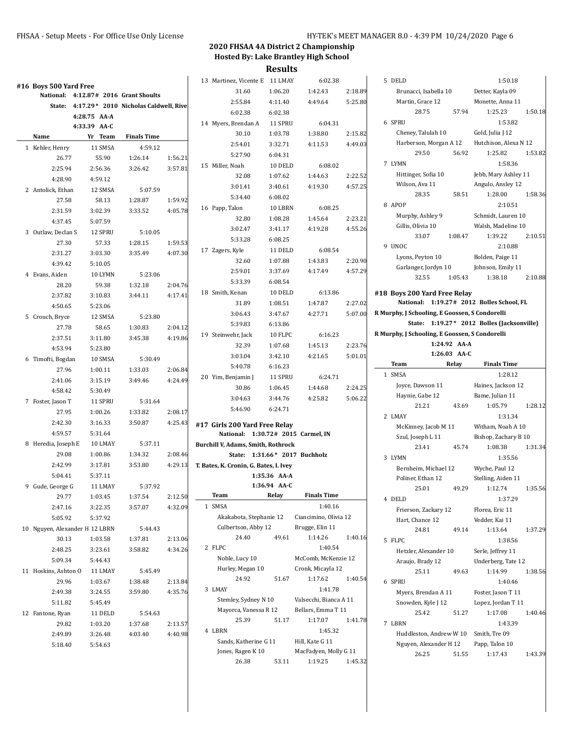|                                |                                              |                    |         | 13 Martinez, Vicente E 11 LMAY         |              | 6:02.38                                  |         | 5 DELD                                         |              | 1:50.18                                    |         |
|--------------------------------|----------------------------------------------|--------------------|---------|----------------------------------------|--------------|------------------------------------------|---------|------------------------------------------------|--------------|--------------------------------------------|---------|
| #16 Boys 500 Yard Free         | National: 4:12.87# 2016 Grant Shoults        |                    |         | 31.60                                  | 1:06.20      | 1:42.43                                  | 2:18.89 | Brunacci, Isabella 10                          |              | Detter, Kayla 09                           |         |
|                                | State: 4:17.29* 2010 Nicholas Caldwell, Rive |                    |         | 2:55.84                                | 4:11.40      | 4:49.64                                  | 5:25.80 | Martin, Grace 12                               |              | Monette, Anna 11                           |         |
|                                | 4:28.75 AA-A                                 |                    |         | 6:02.38                                | 6:02.38      |                                          |         | 28.75                                          | 57.94        | 1:25.23                                    | 1:50.18 |
|                                | 4:33.39 AA-C                                 |                    |         | 14 Myers, Brendan A                    | 11 SPRU      | 6:04.31                                  |         | 6 SPRU                                         |              | 1:53.82                                    |         |
| Name                           | Yr Team                                      | <b>Finals Time</b> |         | 30.10                                  | 1:03.78      | 1:38.80                                  | 2:15.82 | Cheney, Talulah 10                             |              | Gold, Julia J 12                           |         |
| 1 Kehler, Henry                | 11 SMSA                                      | 4:59.12            |         | 2:54.01                                | 3:32.71      | 4:11.53                                  | 4:49.03 | Harberson, Morgan A 12                         |              | Hutchison, Alexa N 12                      |         |
| 26.77                          | 55.90                                        | 1:26.14            | 1:56.21 | 5:27.90                                | 6:04.31      |                                          |         | 29.50                                          | 56.92        | 1:25.82                                    | 1:53.82 |
| 2:25.94                        | 2:56.36                                      | 3:26.42            | 3:57.81 | 15 Miller, Noah                        | 10 DELD      | 6:08.02                                  |         | 7 LYMN                                         |              | 1:58.36                                    |         |
| 4:28.90                        | 4:59.12                                      |                    |         | 32.08                                  | 1:07.62      | 1:44.63                                  | 2:22.52 | Hittinger, Sofia 10                            |              | Jebb, Mary Ashley 11                       |         |
| 2 Antolick, Ethan              | 12 SMSA                                      | 5:07.59            |         | 3:01.41                                | 3:40.61      | 4:19.30                                  | 4:57.25 | Wilson, Ava 11                                 |              | Angulo, Ansley 12                          |         |
| 27.58                          | 58.13                                        | 1:28.87            | 1:59.92 | 5:34.40                                | 6:08.02      |                                          |         | 28.35                                          | 58.51        | 1:28.00                                    | 1:58.36 |
| 2:31.59                        | 3:02.39                                      | 3:33.52            | 4:05.78 | 16 Papp, Talon                         | 10 LBRN      | 6:08.25                                  |         | 8 APOP                                         |              | 2:10.51                                    |         |
| 4:37.45                        | 5:07.59                                      |                    |         | 32.80                                  | 1:08.28      | 1:45.64                                  | 2:23.21 | Murphy, Ashley 9                               |              | Schmidt, Lauren 10                         |         |
| 3 Outlaw, Declan S             | 12 SPRU                                      | 5:10.05            |         | 3:02.47                                | 3:41.17      | 4:19.28                                  | 4:55.26 | Gillis, Olivia 10                              |              | Walsh, Madeline 10                         |         |
| 27.30                          | 57.33                                        | 1:28.15            | 1:59.53 | 5:33.28                                | 6:08.25      |                                          |         | 33.07                                          | 1:08.47      | 1:39.22                                    | 2:10.51 |
| 2:31.27                        | 3:03.30                                      | 3:35.49            | 4:07.30 | 17 Zagers, Kyle                        | 11 DELD      | 6:08.54                                  |         | 9 UNOC                                         |              | 2:10.88                                    |         |
| 4:39.42                        | 5:10.05                                      |                    |         | 32.60                                  | 1:07.88      | 1:43.83                                  | 2:20.90 | Lyons, Peyton 10                               |              | Bolden, Paige 11                           |         |
|                                |                                              |                    |         | 2:59.01                                | 3:37.69      | 4:17.49                                  | 4:57.29 | Garlanger, Jordyn 10                           |              | Johnson, Emily 11                          |         |
| 4 Evans, Aiden                 | 10 LYMN                                      | 5:23.06            |         | 5:33.39                                | 6:08.54      |                                          |         | 32.55                                          | 1:05.43      | 1:38.18                                    | 2:10.88 |
| 28.20                          | 59.38                                        | 1:32.18            | 2:04.76 | 18 Smith, Kenan                        | 10 DELD      | 6:13.86                                  |         | #18 Boys 200 Yard Free Relay                   |              |                                            |         |
| 2:37.82                        | 3:10.83                                      | 3:44.11            | 4:17.41 | 31.89                                  | 1:08.51      | 1:47.87                                  | 2:27.02 |                                                |              | National: 1:19.27# 2012 Bolles School, FL  |         |
| 4:50.65                        | 5:23.06                                      |                    |         | 3:06.43                                | 3:47.67      | 4:27.71                                  | 5:07.00 | R Murphy, J Schooling, E Goossen, S Condorelli |              |                                            |         |
| 5 Crouch, Bryce                | 12 SMSA                                      | 5:23.80            |         | 5:39.83                                | 6:13.86      |                                          |         |                                                |              | State: 1:19.27* 2012 Bolles (Jacksonville) |         |
| 27.78                          | 58.65                                        | 1:30.83            | 2:04.12 | 19 Steinwehr, Jack                     | 10 FLPC      | 6:16.23                                  |         | R Murphy, J Schooling, E Goossen, S Condorelli |              |                                            |         |
| 2:37.51                        | 3:11.80                                      | 3:45.38            | 4:19.86 | 32.39                                  | 1:07.68      | 1:45.13                                  | 2:23.76 |                                                | 1:24.92 AA-A |                                            |         |
| 4:53.94                        | 5:23.80                                      |                    |         | 3:03.04                                | 3:42.10      | 4:21.65                                  | 5:01.01 |                                                | 1:26.03 AA-C |                                            |         |
| 6 Timofti, Bogdan              | 10 SMSA                                      | 5:30.49            |         | 5:40.78                                | 6:16.23      |                                          |         | <b>Team</b>                                    | Relay        | <b>Finals Time</b>                         |         |
| 27.96                          | 1:00.11                                      | 1:33.03            | 2:06.84 | 20 Yim, Benjamin J                     | 11 SPRU      | 6:24.71                                  |         | 1 SMSA                                         |              | 1:28.12                                    |         |
| 2:41.06                        | 3:15.19                                      | 3:49.46            | 4:24.49 | 30.86                                  | 1:06.45      | 1:44.68                                  | 2:24.25 | Joyce, Dawson 11                               |              | Haines, Jackson 12                         |         |
| 4:58.42                        | 5:30.49                                      |                    |         | 3:04.63                                | 3:44.76      | 4:25.82                                  | 5:06.22 | Haynie, Gabe 12                                |              | Bame, Julian 11                            |         |
| 7 Foster, Jason T              | 11 SPRU                                      | 5:31.64            |         | 5:46.90                                | 6:24.71      |                                          |         | 21.21                                          | 43.69        | 1:05.79                                    | 1:28.12 |
| 27.95                          | 1:00.26                                      | 1:33.82            | 2:08.17 |                                        |              |                                          |         | 2 LMAY                                         |              | 1:31.34                                    |         |
| 2:42.30                        | 3:16.33                                      | 3:50.87            | 4:25.43 | #17 Girls 200 Yard Free Relay          |              |                                          |         | McKinney, Jacob M 11                           |              | Witham, Noah A 10                          |         |
| 4:59.57                        | 5:31.64                                      |                    |         | National: 1:30.72# 2015 Carmel, IN     |              |                                          |         | Szul, Joseph L 11                              |              | Bishop, Zachary B 10                       |         |
| 8 Heredia, Joseph E            | 10 LMAY                                      | 5:37.11            |         | Burchill V, Adams, Smith, Rothrock     |              |                                          |         | 23.41                                          | 45.74        | 1:08.38                                    | 1:31.34 |
| 29.08                          | 1:00.86                                      | 1:34.32            | 2:08.46 | State: 1:31.66* 2017 Buchholz          |              |                                          |         | 3 LYMN                                         |              | 1:35.56                                    |         |
| 2:42.99                        | 3:17.81                                      | 3:53.80            | 4:29.13 | T. Bates, K. Cronin, G. Bates, I. Ivey |              |                                          |         | Bernheim, Michael 12                           |              | Wyche, Paul 12                             |         |
| 5:04.41                        | 5:37.11                                      |                    |         |                                        | 1:35.36 AA-A |                                          |         | Poliner, Ethan 12                              |              | Stelling, Aiden 11                         |         |
| 9 Gude, George G               | 11 LMAY                                      | 5:37.92            |         |                                        | 1:36.94 AA-C |                                          |         | 25.01                                          | 49.29        | 1:12.74                                    | 1:35.56 |
| 29.77                          | 1:03.45                                      | 1:37.54            | 2:12.50 | Team                                   | Relay        | <b>Finals Time</b>                       |         | 4 DELD                                         |              | 1:37.29                                    |         |
| 2:47.16                        | 3:22.35                                      | 3:57.07            | 4:32.09 | 1 SMSA                                 |              | 1:40.16                                  |         | Frierson, Zackary 12                           |              | Florea, Eric 11                            |         |
| 5:05.92                        | 5:37.92                                      |                    |         | Akakabota, Stephanie 12                |              | Ciancimino, Olivia 12                    |         | Hart, Chance 12                                |              | Vedder, Kai 11                             |         |
| 10 Nguyen, Alexander H 12 LBRN |                                              | 5:44.43            |         | Culbertson, Abby 12                    |              | Brugge, Elin 11                          |         | 24.81                                          | 49.14        | 1:13.64                                    | 1:37.29 |
| 30.13                          | 1:03.58                                      | 1:37.81            | 2:13.06 | 24.40                                  | 49.61        | 1:14.26                                  | 1:40.16 | 5 FLPC                                         |              | 1:38.56                                    |         |
| 2:48.25                        | 3:23.61                                      | 3:58.82            | 4:34.26 | 2 FLPC                                 |              | 1:40.54                                  |         | Hetzler, Alexander 10                          |              | Serle, Jeffrey 11                          |         |
| 5:09.34                        | 5:44.43                                      |                    |         | Noble, Lucy 10                         |              | McComb, McKenzie 12                      |         | Araujo, Brady 12                               |              | Underberg, Tate 12                         |         |
| 11 Hoskins, Ashton O           | 11 LMAY                                      | 5:45.49            |         | Hurley, Megan 10<br>24.92              |              | Cronk, Micayla 12<br>1:17.62             | 1:40.54 | 25.11                                          | 49.63        | 1:14.99                                    | 1:38.56 |
| 29.96                          | 1:03.67                                      | 1:38.48            | 2:13.84 |                                        | 51.67        |                                          |         | 6 SPRU                                         |              | 1:40.46                                    |         |
| 2:49.38                        | 3:24.55                                      | 3:59.80            | 4:35.76 | 3 LMAY                                 |              | 1:41.78                                  |         | Myers, Brendan A 11                            |              | Foster, Jason T 11                         |         |
| 5:11.82                        | 5:45.49                                      |                    |         | Stemley, Sydney N 10                   |              | Valsecchi, Bianca A 11                   |         | Snowden, Kyle J 12                             |              | Lopez, Jordan T 11                         |         |
| 12 Fantone, Ryan               | 11 DELD                                      | 5:54.63            |         | Mayorca, Vanessa R 12<br>25.39         | 51.17        | Bellars, Emma T 11<br>1:17.07            | 1:41.78 | 25.42                                          | 51.27        | 1:17.08                                    | 1:40.46 |
| 29.82                          | 1:03.20                                      | 1:37.68            | 2:13.57 | 4 LBRN                                 |              | 1:45.32                                  |         | 7 LBRN                                         |              | 1:43.39                                    |         |
| 2:49.89                        | 3:26.48                                      | 4:03.40            | 4:40.98 | Sands, Katherine G 11                  |              |                                          |         | Huddleston, Andrew W10                         |              | Smith, Tre 09                              |         |
| 5:18.40                        | 5:54.63                                      |                    |         | Jones, Ragen K 10                      |              | Hill, Kate G 11<br>MacFadyen, Molly G 11 |         | Nguyen, Alexander H 12                         |              | Papp, Talon 10                             |         |
|                                |                                              |                    |         | 26.38                                  | 53.11        | 1:19.25                                  | 1:45.32 | 26.25                                          | 51.55        | 1:17.43                                    | 1:43.39 |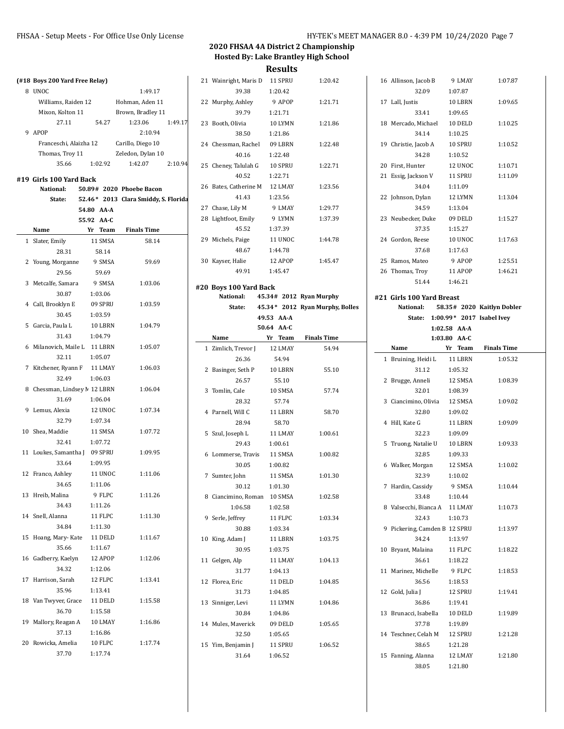| (#18 Boys 200 Yard Free Relay)       |                          |                                      |         | 21 Wainright, Maris D 11 SPRU |                         | 1:20.42                         | 16 Allinson, Jacob B             | 9 LMAY         | 1:07.87                    |
|--------------------------------------|--------------------------|--------------------------------------|---------|-------------------------------|-------------------------|---------------------------------|----------------------------------|----------------|----------------------------|
| 8 UNOC                               |                          | 1:49.17                              |         | 39.38                         | 1:20.42                 |                                 | 32.09                            | 1:07.87        |                            |
| Williams, Raiden 12                  |                          | Hohman, Aden 11                      |         | 22 Murphy, Ashley             | 9 APOP                  | 1:21.71                         | 17 Lall, Justis                  | 10 LBRN        | 1:09.65                    |
| Mixon, Kolton 11                     |                          | Brown, Bradley 11                    |         | 39.79                         | 1:21.71                 |                                 | 33.41                            | 1:09.65        |                            |
| 27.11                                | 54.27                    | 1:23.06                              | 1:49.17 | 23 Booth, Olivia              | 10 LYMN                 | 1:21.86                         | 18 Mercado, Michael              | 10 DELD        | 1:10.25                    |
| 9 APOP                               |                          | 2:10.94                              |         | 38.50                         | 1:21.86                 |                                 | 34.14                            | 1:10.25        |                            |
| Franceschi, Alaizha 12               |                          | Carillo, Diego 10                    |         | 24 Chessman, Rachel           | 09 LBRN                 | 1:22.48                         | 19 Christie, Jacob A             | 10 SPRU        | 1:10.52                    |
| Thomas, Troy 11                      |                          | Zeledon, Dylan 10                    |         | 40.16                         | 1:22.48                 |                                 | 34.28                            | 1:10.52        |                            |
| 35.66                                | 1:02.92                  | 1:42.07                              | 2:10.94 | 25 Cheney, Talulah G          | 10 SPRU                 | 1:22.71                         | 20 First, Hunter                 | 12 UNOC        | 1:10.71                    |
|                                      |                          |                                      |         | 40.52                         | 1:22.71                 |                                 | 21 Essig, Jackson V              | 11 SPRU        | 1:11.09                    |
| #19 Girls 100 Yard Back<br>National: |                          | 50.89# 2020 Phoebe Bacon             |         | 26 Bates, Catherine M         | 12 LMAY                 | 1:23.56                         | 34.04                            | 1:11.09        |                            |
| State:                               |                          | 52.46* 2013 Clara Smiddy, S. Florida |         | 41.43                         | 1:23.56                 |                                 | 22 Johnson, Dylan                | 12 LYMN        | 1:13.04                    |
|                                      |                          |                                      |         | 27 Chase, Lily M              | 9 LMAY                  | 1:29.77                         | 34.59                            | 1:13.04        |                            |
|                                      | 54.80 AA-A<br>55.92 AA-C |                                      |         | 28 Lightfoot, Emily           | 9 LYMN                  | 1:37.39                         | 23 Neubecker, Duke               | 09 DELD        | 1:15.27                    |
| Name                                 | Yr Team                  | <b>Finals Time</b>                   |         | 45.52                         | 1:37.39                 |                                 | 37.35                            | 1:15.27        |                            |
|                                      | 11 SMSA                  | 58.14                                |         | 29 Michels, Paige             | 11 UNOC                 | 1:44.78                         | 24 Gordon, Reese                 | 10 UNOC        | 1:17.63                    |
| 1 Slater, Emily                      |                          |                                      |         | 48.67                         | 1:44.78                 |                                 | 37.68                            | 1:17.63        |                            |
| 28.31                                | 58.14                    |                                      |         | 30 Kayser, Halie              | 12 APOP                 | 1:45.47                         | 25 Ramos, Mateo                  | 9 APOP         | 1:25.51                    |
| 2 Young, Morganne                    | 9 SMSA                   | 59.69                                |         |                               | 1:45.47                 |                                 |                                  |                |                            |
| 29.56                                | 59.69                    |                                      |         | 49.91                         |                         |                                 | 26 Thomas, Troy                  | 11 APOP        | 1:46.21                    |
| 3 Metcalfe, Samara                   | 9 SMSA                   | 1:03.06                              |         | #20 Boys 100 Yard Back        |                         |                                 | 51.44                            | 1:46.21        |                            |
| 30.87                                | 1:03.06                  |                                      |         | National:                     | 45.34# 2012 Ryan Murphy |                                 | #21 Girls 100 Yard Breast        |                |                            |
| 4 Call, Brooklyn E                   | 09 SPRU                  | 1:03.59                              |         | State:                        |                         | 45.34* 2012 Ryan Murphy, Bolles | National:                        |                | 58.35# 2020 Kaitlyn Dobler |
| 30.45                                | 1:03.59                  |                                      |         |                               | 49.53 AA-A              |                                 | State: 1:00.99* 2017 Isabel Ivey |                |                            |
| 5 Garcia, Paula L                    | 10 LBRN                  | 1:04.79                              |         |                               | 50.64 AA-C              |                                 |                                  | $1:02.58$ AA A |                            |
| 31.43                                | 1:04.79                  |                                      |         | Name                          | Yr Team                 | <b>Finals Time</b>              |                                  | 1:03.80 AA-C   |                            |
| 6 Milanovich, Maile L 11 LBRN        |                          | 1:05.07                              |         | 1 Zimlich, Trevor J           | 12 LMAY                 | 54.94                           | Name                             | Yr Team        | <b>Finals Time</b>         |
| 32.11                                | 1:05.07                  |                                      |         | 26.36                         | 54.94                   |                                 | 1 Bruining, Heidi L              | 11 LBRN        | 1:05.32                    |
| 7 Kitchener, Ryann F                 | 11 LMAY                  | 1:06.03                              |         | 2 Basinger, Seth P            | 10 LBRN                 | 55.10                           | 31.12                            | 1:05.32        |                            |
| 32.49                                | 1:06.03                  |                                      |         | 26.57                         | 55.10                   |                                 | 2 Brugge, Anneli                 | 12 SMSA        | 1:08.39                    |
| 8 Chessman, Lindsey M 12 LBRN        |                          | 1:06.04                              |         | 3 Tomlin, Cale                | 10 SMSA                 | 57.74                           | 32.01                            | 1:08.39        |                            |
| 31.69                                | 1:06.04                  |                                      |         | 28.32                         | 57.74                   |                                 | 3 Ciancimino, Olivia             | 12 SMSA        | 1:09.02                    |
| 9 Lemus, Alexia                      | 12 UNOC                  | 1:07.34                              |         | 4 Parnell, Will C             | 11 LBRN                 | 58.70                           | 32.80                            | 1:09.02        |                            |
| 32.79                                | 1:07.34                  |                                      |         | 28.94                         | 58.70                   |                                 | 4 Hill, Kate G                   | 11 LBRN        | 1:09.09                    |
| 10 Shea, Maddie                      | 11 SMSA                  | 1:07.72                              |         | 5 Szul, Joseph L              | 11 LMAY                 | 1:00.61                         | 32.23                            | 1:09.09        |                            |
| 32.41                                | 1:07.72                  |                                      |         | 29.43                         | 1:00.61                 |                                 | 5 Truong, Natalie U              | 10 LBRN        | 1:09.33                    |
| 11 Loukes, Samantha J                | 09 SPRU                  | 1:09.95                              |         | 6 Lommerse, Travis            | 11 SMSA                 | 1:00.82                         | 32.85                            | 1:09.33        |                            |
| 33.64                                | 1:09.95                  |                                      |         | 30.05                         | 1:00.82                 |                                 | 6 Walker, Morgan                 | 12 SMSA        | 1:10.02                    |
| 12 Franco, Ashley                    | 11 UNOC                  | 1:11.06                              |         | 7 Sumter, John                | 11 SMSA                 | 1:01.30                         | 32.39                            | 1:10.02        |                            |
| 34.65                                | 1:11.06                  |                                      |         | 30.12                         | 1:01.30                 |                                 | 7 Hardin, Cassidy                | 9 SMSA         | 1:10.44                    |
| 13 Hreib, Malina                     | 9 FLPC                   | 1:11.26                              |         | 8 Ciancimino, Roman 10 SMSA   |                         | 1:02.58                         | 33.48                            | 1:10.44        |                            |
| 34.43                                | 1:11.26                  |                                      |         | 1:06.58                       | 1:02.58                 |                                 | 8 Valsecchi, Bianca A 11 LMAY    |                | 1:10.73                    |
| 14 Snell, Alanna                     | 11 FLPC                  | 1:11.30                              |         | 9 Serle, Jeffrey              | 11 FLPC                 | 1:03.34                         | 32.43                            | 1:10.73        |                            |
| 34.84                                | 1:11.30                  |                                      |         | 30.88                         | 1:03.34                 |                                 | 9 Pickering, Camden B 12 SPRU    |                | 1:13.97                    |
| 15 Hoang, Mary-Kate                  | 11 DELD                  | 1:11.67                              |         | 10 King, Adam J               | 11 LBRN                 | 1:03.75                         | 34.24                            | 1:13.97        |                            |
| 35.66                                | 1:11.67                  |                                      |         | 30.95                         |                         |                                 | 10 Bryant, Malaina               |                |                            |
| 16 Gadberry, Kaelyn                  | 12 APOP                  | 1:12.06                              |         |                               | 1:03.75                 |                                 |                                  | 11 FLPC        | 1:18.22                    |
| 34.32                                | 1:12.06                  |                                      |         | 11 Gelgen, Alp                | 11 LMAY                 | 1:04.13                         | 36.61                            | 1:18.22        |                            |
| 17 Harrison, Sarah                   | 12 FLPC                  | 1:13.41                              |         | 31.77                         | 1:04.13                 |                                 | 11 Marinez, Michelle             | 9 FLPC         | 1:18.53                    |
| 35.96                                | 1:13.41                  |                                      |         | 12 Florea, Eric               | 11 DELD                 | 1:04.85                         | 36.56                            | 1:18.53        |                            |
|                                      |                          |                                      |         | 31.73                         | 1:04.85                 |                                 | 12 Gold, Julia J                 | 12 SPRU        | 1:19.41                    |
| 18 Van Twyver, Grace                 | 11 DELD                  | 1:15.58                              |         | 13 Sinniger, Levi             | 11 LYMN                 | 1:04.86                         | 36.86                            | 1:19.41        |                            |
| 36.70                                | 1:15.58                  |                                      |         | 30.84                         | 1:04.86                 |                                 | 13 Brunacci, Isabella            | 10 DELD        | 1:19.89                    |
| 19 Mallory, Reagan A                 | 10 LMAY                  | 1:16.86                              |         | 14 Mules, Maverick            | 09 DELD                 | 1:05.65                         | 37.78                            | 1:19.89        |                            |
| 37.13                                | 1:16.86                  |                                      |         | 32.50                         | 1:05.65                 |                                 | 14 Teschner, Celah M             | 12 SPRU        | 1:21.28                    |
| 20 Rowicka, Amelia                   | 10 FLPC                  | 1:17.74                              |         | 15 Yim, Benjamin J            | 11 SPRU                 | 1:06.52                         | 38.65                            | 1:21.28        |                            |
| 37.70                                | 1:17.74                  |                                      |         | 31.64                         | 1:06.52                 |                                 | 15 Fanning, Alanna               | 12 LMAY        | 1:21.80                    |
|                                      |                          |                                      |         |                               |                         |                                 | 38.05                            | 1:21.80        |                            |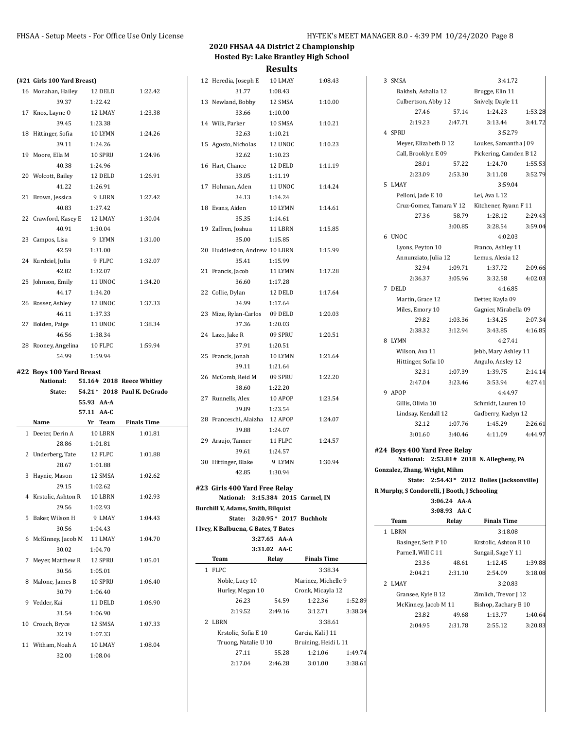|    | (#21 Girls 100 Yard Breast) |            |                    |                             |  |
|----|-----------------------------|------------|--------------------|-----------------------------|--|
|    | 16 Monahan, Hailey          |            | 12 DELD            | 1:22.42                     |  |
|    | 39.37                       |            | 1:22.42            |                             |  |
| 17 | Knox, Layne O               |            | 12 LMAY            | 1:23.38                     |  |
|    | 39.45                       |            | 1:23.38            |                             |  |
|    | 18 Hittinger, Sofia         |            | 10 LYMN            | 1:24.26                     |  |
|    | 39.11                       |            | 1:24.26            |                             |  |
| 19 | Moore, Ella M               |            | 10 SPRU            | 1:24.96                     |  |
|    | 40.38                       |            | 1:24.96            |                             |  |
|    | 20 Wolcott, Bailey          |            | 12 DELD            | 1:26.91                     |  |
|    | 41.22                       |            | 1:26.91            |                             |  |
|    |                             |            | 9 LBRN             |                             |  |
| 21 | Brown, Jessica              |            |                    | 1:27.42                     |  |
|    | 40.83                       |            | 1:27.42            |                             |  |
|    | 22 Crawford, Kasey E        |            | 12 LMAY            | 1:30.04                     |  |
|    | 40.91                       |            | 1:30.04            |                             |  |
|    | 23 Campos, Lisa             |            | 9 LYMN             | 1:31.00                     |  |
|    | 42.59                       |            | 1:31.00            |                             |  |
|    | 24 Kurdziel, Julia          |            | 9 FLPC             | 1:32.07                     |  |
|    | 42.82                       |            | 1:32.07            |                             |  |
|    | 25 Johnson, Emily           |            | 11 UNOC            | 1:34.20                     |  |
|    | 44.17                       |            | 1:34.20            |                             |  |
|    | 26 Rosser, Ashley           |            | 12 UNOC            | 1:37.33                     |  |
|    | 46.11                       |            | 1:37.33            |                             |  |
|    | 27 Bolden, Paige            |            | 11 UNOC            | 1:38.34                     |  |
|    | 46.56                       |            | 1:38.34            |                             |  |
|    | 28 Rooney, Angelina         |            | 10 FLPC            | 1:59.94                     |  |
|    | 54.99                       |            | 1:59.94            |                             |  |
|    |                             |            |                    |                             |  |
|    |                             |            |                    |                             |  |
|    | #22 Boys 100 Yard Breast    |            |                    |                             |  |
|    | National:                   |            |                    | 51.16# 2018 Reece Whitley   |  |
|    | State:                      |            |                    | 54.21* 2018 Paul K. DeGrado |  |
|    |                             | 55.93 AA A |                    |                             |  |
|    |                             | 57.11 AA-C |                    |                             |  |
|    | Name                        |            | Yr Team            | <b>Finals Time</b>          |  |
| 1  | Deeter, Derin A             |            | 10 LBRN            | 1:01.81                     |  |
|    | 28.86                       |            | 1:01.81            |                             |  |
| 2  | Underberg, Tate             |            | 12 FLPC            | 1:01.88                     |  |
|    | 28.67                       |            | 1:01.88            |                             |  |
| 3  | Haynie, Mason               |            | 12 SMSA            | 1:02.62                     |  |
|    | 29.15                       |            | 1:02.62            |                             |  |
| 4  | Krstolic, Ashton R          |            | 10 LBRN            | 1:02.93                     |  |
|    | 29.56                       |            | 1:02.93            |                             |  |
| 5  | Baker, Wilson H             |            | 9 LMAY             | 1:04.43                     |  |
|    | 30.56                       |            | 1:04.43            |                             |  |
| 6  | McKinney, Jacob M           |            | 11 LMAY            | 1:04.70                     |  |
|    | 30.02                       |            | 1:04.70            |                             |  |
| 7  | Meyer, Matthew R            |            | 12 SPRU            | 1:05.01                     |  |
|    | 30.56                       |            | 1:05.01            |                             |  |
| 8  | Malone, James B             |            | 10 SPRU            | 1:06.40                     |  |
|    | 30.79                       |            | 1:06.40            |                             |  |
| 9  |                             |            |                    |                             |  |
|    | Vedder, Kai                 |            | 11 DELD            | 1:06.90                     |  |
|    | 31.54                       |            | 1:06.90            |                             |  |
| 10 | Crouch, Bryce               |            | 12 SMSA            | 1:07.33                     |  |
|    | 32.19                       |            | 1:07.33            |                             |  |
| 11 | Witham, Noah A<br>32.00     |            | 10 LMAY<br>1:08.04 | 1:08.04                     |  |

| 12 Heredia, Joseph E 10 LMAY         |                | 1:08.43              |         |
|--------------------------------------|----------------|----------------------|---------|
| 31.77                                | 1:08.43        |                      |         |
| 13 Newland, Bobby                    | 12 SMSA        | 1:10.00              |         |
| 33.66                                | 1:10.00        |                      |         |
| 14 Wilk, Parker                      | 10 SMSA        | 1:10.21              |         |
| 32.63                                | 1:10.21        |                      |         |
| 15 Agosto, Nicholas 12 UNOC          |                | 1:10.23              |         |
| 32.62                                | 1:10.23        |                      |         |
| 16 Hart, Chance 12 DELD              |                | 1:11.19              |         |
| 33.05 1:11.19                        |                |                      |         |
| 17 Hohman, Aden 11 UNOC              |                | 1:14.24              |         |
| 34.13 1:14.24                        |                |                      |         |
| 18 Evans, Aiden                      | $10~\rm{LYMN}$ | 1:14.61              |         |
| 35.35                                | 1:14.61        |                      |         |
| 19 Zaffren, Joshua                   | 11 LBRN        | 1:15.85              |         |
| 35.00                                | 1:15.85        |                      |         |
|                                      |                |                      |         |
| 20 Huddleston, Andrew 10 LBRN        |                | 1:15.99              |         |
| 35.41                                | 1:15.99        |                      |         |
| 21 Francis, Jacob                    | 11 LYMN        | 1:17.28              |         |
| 36.60 1:17.28                        |                |                      |         |
| 22 Collie, Dylan                     | 12 DELD        | 1:17.64              |         |
| 34.99 1:17.64                        |                |                      |         |
| 23 Mize, Rylan-Carlos 09 DELD        |                | 1:20.03              |         |
| 37.36 1:20.03                        |                |                      |         |
| 24 Lazo, Jake R                      | 09 SPRU        | 1:20.51              |         |
| 37.91                                | 1:20.51        |                      |         |
| 25 Francis, Jonah                    | 10 LYMN        | 1:21.64              |         |
| 39.11                                | 1:21.64        |                      |         |
| 26 McComb, Reid M                    | 09 SPRU        | 1:22.20              |         |
| 38.60                                | 1:22.20        |                      |         |
| 27 Runnells, Alex 10 APOP            |                | 1:23.54              |         |
| 39.89                                | 1:23.54        |                      |         |
| 28 Franceschi, Alaizha 12 APOP       |                | 1:24.07              |         |
| 39.88                                | 1:24.07        |                      |         |
| 29 Araujo, Tanner 11 FLPC            |                | 1:24.57              |         |
| 39.61                                | 1:24.57        |                      |         |
| 30 Hittinger, Blake 9 LYMN           |                | 1:30.94              |         |
| 42.85                                | 1:30.94        |                      |         |
|                                      |                |                      |         |
| #23 Girls 400 Yard Free Relay        |                |                      |         |
| National: 3:15.38# 2015 Carmel, IN   |                |                      |         |
| Burchill V, Adams, Smith, Bilquist   |                |                      |         |
| State: 3:20.95* 2017 Buchholz        |                |                      |         |
| I Ivey, K Balbuena, G Bates, T Bates |                |                      |         |
|                                      | 3:27.65 AA-A   |                      |         |
|                                      | 3:31.02 AA-C   |                      |         |
| Team                                 | Relay          | <b>Finals Time</b>   |         |
| 1 FLPC                               |                | 3:38.34              |         |
| Noble, Lucy 10                       |                | Marinez, Michelle 9  |         |
| Hurley, Megan 10                     |                | Cronk, Micayla 12    |         |
| 26.23                                | 54.59          | 1:22.36              | 1:52.89 |
| 2:19.52                              | 2:49.16        | 3:12.71              | 3:38.34 |
| 2 LBRN                               |                | 3:38.61              |         |
| Krstolic, Sofia E 10                 |                | Garcia, Kali J 11    |         |
| Truong, Natalie U 10                 |                | Bruining, Heidi L 11 |         |
| 27.11                                | 55.28          | 1:21.06              | 1:49.74 |
| 2:17.04                              | 2:46.28        | 3:01.00              | 3:38.61 |
|                                      |                |                      |         |

|   | 3 SMSA                                       |                       | 3:41.72                                                        |                                                 |  |
|---|----------------------------------------------|-----------------------|----------------------------------------------------------------|-------------------------------------------------|--|
|   | Bakhsh, Ashalia 12 Brugge, Elin 11           |                       |                                                                |                                                 |  |
|   | Culbertson, Abby 12                          |                       | Snively, Dayle 11                                              |                                                 |  |
|   | 27.46                                        | 57.14                 | 1:24.23                                                        | 1:53.28                                         |  |
|   | 2:19.23 2:47.71                              |                       | 3:13.44                                                        | 3:41.72                                         |  |
|   | 4 SPRU                                       |                       | 3:52.79                                                        |                                                 |  |
|   |                                              |                       |                                                                |                                                 |  |
|   | Call, Brooklyn E 09                          | Meyer, Elizabeth D 12 |                                                                | Loukes, Samantha J 09<br>Pickering, Camden B 12 |  |
|   | 28.01                                        | 57.22                 | 1:24.70                                                        | 1:55.53                                         |  |
|   | 2:23.09 2:53.30                              |                       | 3:11.08                                                        | 3:52.79                                         |  |
|   | 5 LMAY                                       |                       | 3:59.04                                                        |                                                 |  |
|   |                                              |                       |                                                                |                                                 |  |
|   | Pelloni, Jade E 10                           |                       | Lei, Ava L 12<br>Cruz-Gomez, Tamara V 12 Kitchener, Ryann F 11 |                                                 |  |
|   | 27.36                                        | 58.79                 | 1:28.12                                                        | 2:29.43                                         |  |
|   |                                              | 3:00.85               |                                                                |                                                 |  |
|   |                                              |                       | 3:28.54                                                        | 3:59.04                                         |  |
|   | 6 UNOC                                       |                       | 4:02.03                                                        |                                                 |  |
|   | Lyons, Peyton 10                             |                       | Franco, Ashley 11                                              |                                                 |  |
|   | Annunziato, Julia 12                         |                       | Lemus, Alexia 12<br>1:37.72                                    | 2:09.66                                         |  |
|   | 32.94<br>2:36.37                             | 1:09.71               |                                                                |                                                 |  |
|   |                                              | 3:05.96               | 3:32.58                                                        | 4:02.03                                         |  |
|   | 7 DELD                                       |                       | 4:16.85                                                        |                                                 |  |
|   | Martin, Grace 12                             |                       | Detter, Kayla 09                                               |                                                 |  |
|   | Miles, Emory 10                              | 1:03.36               | Gagnier, Mirabella 09<br>1:34.25                               |                                                 |  |
|   | 29.82<br>2:38.32                             | 3:12.94               | 3:43.85                                                        | 2:07.34<br>4:16.85                              |  |
|   |                                              |                       |                                                                |                                                 |  |
|   | 8 LYMN                                       |                       | 4:27.41                                                        |                                                 |  |
|   | Wilson, Ava 11                               |                       | Jebb, Mary Ashley 11                                           |                                                 |  |
|   | Hittinger, Sofia 10<br>32.31                 | 1:07.39               | Angulo, Ansley 12                                              |                                                 |  |
|   | 2:47.04                                      |                       | 1:39.75                                                        | 2:14.14                                         |  |
|   | 9 APOP                                       | 3:23.46               | 3:53.94                                                        | 4:27.41                                         |  |
|   |                                              |                       | 4:44.97                                                        |                                                 |  |
|   | Gillis, Olivia 10                            |                       | Schmidt, Lauren 10                                             |                                                 |  |
|   | Lindsay, Kendall 12<br>32.12                 | 1:07.76               | Gadberry, Kaelyn 12<br>1:45.29                                 | 2:26.61                                         |  |
|   | 3:01.60                                      | 3:40.46               | 4:11.09                                                        | 4:44.97                                         |  |
|   |                                              |                       |                                                                |                                                 |  |
|   | #24 Boys 400 Yard Free Relay                 |                       |                                                                |                                                 |  |
|   |                                              |                       | National: 2:53.81# 2018 N. Allegheny, PA                       |                                                 |  |
|   | Gonzalez, Zhang, Wright, Mihm                |                       |                                                                |                                                 |  |
|   | <b>State:</b>                                |                       | 2:54.43* 2012 Bolles (Jacksonville)                            |                                                 |  |
|   | R Murphy, S Condorelli, J Booth, J Schooling |                       |                                                                |                                                 |  |
|   |                                              | 3:06.24 AA-A<br>AA-C  |                                                                |                                                 |  |
|   | 3:08.93<br>Team                              | Relay                 | <b>Finals Time</b>                                             |                                                 |  |
| 1 | LBRN                                         |                       | 3:18.08                                                        |                                                 |  |
|   | Basinger, Seth P 10                          |                       | Krstolic, Ashton R 10                                          |                                                 |  |
|   | Parnell, Will C 11                           |                       | Sungail, Sage Y 11                                             |                                                 |  |
|   | 23.36                                        | 48.61                 | 1:12.45                                                        | 1:39.88                                         |  |
|   | 2:04.21                                      | 2:31.10               | 2:54.09                                                        | 3:18.08                                         |  |
|   | 2 LMAY                                       |                       | 3:20.83                                                        |                                                 |  |
|   | Gransee, Kyle B 12                           |                       | Zimlich, Trevor J 12                                           |                                                 |  |
|   | McKinney, Jacob M 11                         |                       | Bishop, Zachary B 10                                           |                                                 |  |
|   | 23.82                                        | 49.68                 | 1:13.77                                                        | 1:40.64                                         |  |
|   | 2:04.95                                      | 2:31.78               | 2:55.12                                                        | 3:20.83                                         |  |
|   |                                              |                       |                                                                |                                                 |  |
|   |                                              |                       |                                                                |                                                 |  |